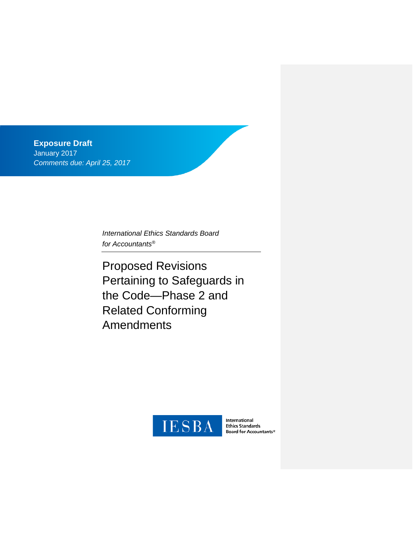**Exposure Draft**  January 2017 *Comments due: April 25, 2017*

> *International Ethics Standards Board for Accountants®*

Proposed Revisions Pertaining to Safeguards in the Code—Phase 2 and Related Conforming Amendments



International Ethics Standards<br>Ethics Standards<br>Board for Accountants®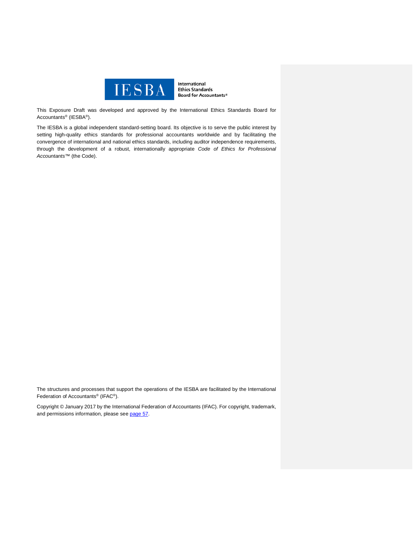

International **Ethics Standards** Board for Accountants®

This Exposure Draft was developed and approved by the [International Ethics Standards Board for](http://www.ifac.org/ethics)  [Accountants®](http://www.ifac.org/ethics) (IESBA®).

The IESBA is a global independent standard-setting board. Its objective is to serve the public interest by setting high-quality ethics standards for professional accountants worldwide and by facilitating the convergence of international and national ethics standards, including auditor independence requirements, through the development of a robust, internationally appropriate *Code of Ethics for Professional Accountants™* (the Code).

The structures and processes that support the operations of the IESBA are facilitated by the International Federation of Accountants® (IFAC®).

Copyright © January 2017 by the International Federation of Accountants (IFAC). For copyright, trademark, and permissions information, please see [page 57.](#page-56-0)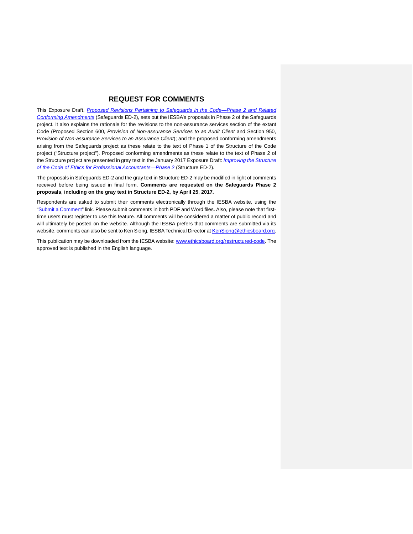## **REQUEST FOR COMMENTS**

This Exposure Draft, *[Proposed Revisions Pertaining to Safeguards in the Code—Phase 2 and Related](http://www.ifac.org/publications-resources/proposed-revisions-pertaining-safeguards-code-phase-2-and-related-conforming)  [Conforming Amendments](http://www.ifac.org/publications-resources/proposed-revisions-pertaining-safeguards-code-phase-2-and-related-conforming)* (Safeguards ED-2)*,* sets out the IESBA's proposals in Phase 2 of the Safeguards project. It also explains the rationale for the revisions to the non-assurance services section of the extant Code (Proposed Section 600, *Provision of Non-assurance Services to an Audit Client* and Section 950, *Provision of Non-assurance Services to an Assurance Client*); and the proposed conforming amendments arising from the Safeguards project as these relate to the text of Phase 1 of the Structure of the Code project ("Structure project"). Proposed conforming amendments as these relate to the text of Phase 2 of the Structure project are presented in gray text in the January 2017 Exposure Draft: *[Improving the Structure](https://www.ifac.org/publications-resources/improving-structure-code-ethics-professional-accountants-phase-2)  [of the Code of Ethics for Professional Accountants—Phase 2](https://www.ifac.org/publications-resources/improving-structure-code-ethics-professional-accountants-phase-2)* (Structure ED-2)*.* 

The proposals in Safeguards ED-2 and the gray text in Structure ED-2 may be modified in light of comments received before being issued in final form. **Comments are requested on the Safeguards Phase 2 proposals, including on the gray text in Structure ED-2, by April 25, 2017.**

Respondents are asked to submit their comments electronically through the IESBA website, using the ["Submit a Comment"](http://www.ifac.org/publications-resources/proposed-revisions-pertaining-safeguards-code-phase-2-and-related-conforming) link. Please submit comments in both PDF and Word files. Also, please note that firsttime users must register to use this feature. All comments will be considered a matter of public record and will ultimately be posted on the website. Although the IESBA prefers that comments are submitted via its website, comments can also be sent to Ken Siong, IESBA Technical Director at [KenSiong@ethicsboard.org.](mailto:KenSiong@ethicsboard.org)

This publication may be downloaded from the IESBA website: [www.ethicsboard.org/restructured-code.](http://www.ethicsboard.org/restructured-code) The approved text is published in the English language.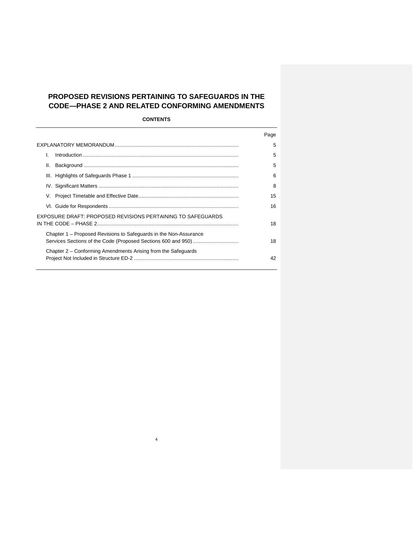# **PROPOSED REVISIONS PERTAINING TO SAFEGUARDS IN THE CODE—PHASE 2 AND RELATED CONFORMING AMENDMENTS**

**CONTENTS**

|                                                                   | Page |
|-------------------------------------------------------------------|------|
|                                                                   | 5    |
| L                                                                 | 5    |
| Ш.                                                                | 5    |
|                                                                   | 6    |
|                                                                   | 8    |
|                                                                   | 15   |
|                                                                   | 16   |
| EXPOSURE DRAFT: PROPOSED REVISIONS PERTAINING TO SAFEGUARDS       | 18   |
| Chapter 1 – Proposed Revisions to Safeguards in the Non-Assurance | 18   |
| Chapter 2 – Conforming Amendments Arising from the Safeguards     | 42   |

4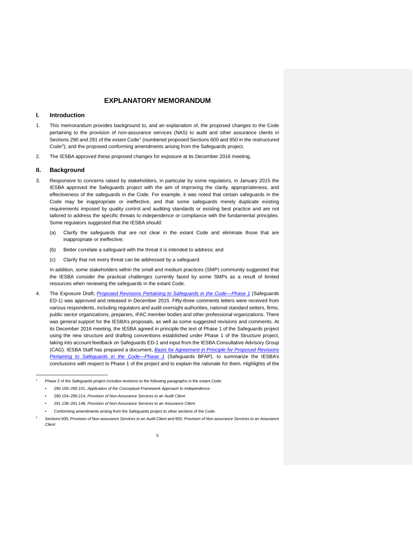# **EXPLANATORY MEMORANDUM**

### <span id="page-4-1"></span><span id="page-4-0"></span>**I. Introduction**

- 1. This memorandum provides background to, and an explanation of, the proposed changes to the Code pertaining to the provision of non-assurance services (NAS) to audit and other assurance clients in Sections 290 and 29[1](#page-4-3) of the extant Code<sup>1</sup> (numbered proposed Sections 600 and 950 in the restructured Code<sup>[2](#page-4-4)</sup>); and the proposed conforming amendments arising from the Safeguards project.
- <span id="page-4-2"></span>2. The IESBA approved these proposed changes for exposure at its December 2016 meeting.

### **II. Background**

 $\overline{a}$ 1

<span id="page-4-4"></span><span id="page-4-3"></span>2

- 3. Responsive to concerns raised by stakeholders, in particular by some regulators, in January 2015 the IESBA approved the Safeguards project with the aim of improving the clarity, appropriateness, and effectiveness of the safeguards in the Code. For example, it was noted that certain safeguards in the Code may be inappropriate or ineffective, and that some safeguards merely duplicate existing requirements imposed by quality control and auditing standards or existing best practice and are not tailored to address the specific threats to independence or compliance with the fundamental principles. Some regulators suggested that the IESBA should:
	- (a) Clarify the safeguards that are not clear in the extant Code and eliminate those that are inappropriate or ineffective;
	- (b) Better correlate a safeguard with the threat it is intended to address; and
	- (c) Clarify that not every threat can be addressed by a safeguard.

In addition, some stakeholders within the small and medium practices (SMP) community suggested that the IESBA consider the practical challenges currently faced by some SMPs as a result of limited resources when reviewing the safeguards in the extant Code.

4. The Exposure Draft, *[Proposed Revisions Pertaining to Safeguards in the Code—Phase 1](https://www.ifac.org/publications-resources/proposed-revisions-pertaining-safeguards-code-phase-1)* (Safeguards ED-1) was approved and released in December 2015. Fifty-three comments letters were received from various respondents, including regulators and audit oversight authorities, national standard setters, firms, public sector organizations, preparers, IFAC member bodies and other professional organizations. There was general support for the IESBA's proposals, as well as some suggested revisions and comments. At its December 2016 meeting, the IESBA agreed in principle the text of Phase 1 of the Safeguards project using the new structure and drafting conventions established under Phase 1 of the Structure project, taking into account feedback on Safeguards ED-1 and input from the IESBA Consultative Advisory Group (CAG). IESBA Staff has prepared a document, *Basis for Agreement in [Principle for Proposed Revisions](https://www.ifac.org/publications-resources/structure-safeguards-revisions-agreed-principle)  [Pertaining to Safeguards in the Code—Phase 1](https://www.ifac.org/publications-resources/structure-safeguards-revisions-agreed-principle)* (Safeguards BFAP), to summarize the IESBA's conclusions with respect to Phase 1 of the project and to explain the rationale for them. Highlights of the

Phase 2 of the Safeguards project includes revisions to the following paragraphs in the extant Code:

<sup>•</sup> 290.100–290.101, *Application of the Conceptual Framework Approach to Independence*.

<sup>•</sup> 290.154–290.214, *Provision of Non-Assurance Services to an Audit Client*.

<sup>•</sup> 291.138–291.148, *Provision of Non-Assurance Services to an Assurance Client*.

<sup>•</sup> Conforming amendments arising from the Safeguards project to other sections of the Code.

Sections 600, *Provision of Non-assurance Services to an Audit Client* and 950, *Provision of Non-assurance Services to an Assurance Client*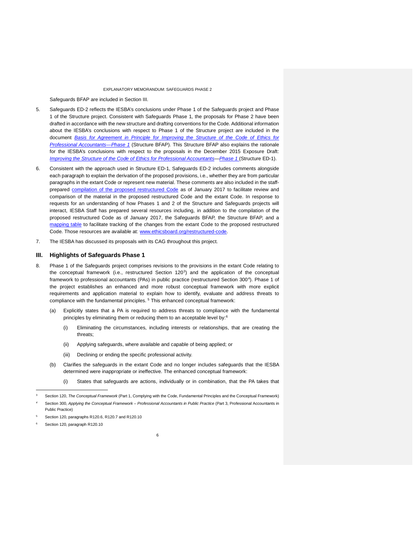Safeguards BFAP are included in Section III.

- 5. Safeguards ED-2 reflects the IESBA's conclusions under Phase 1 of the Safeguards project and Phase 1 of the Structure project. Consistent with Safeguards Phase 1, the proposals for Phase 2 have been drafted in accordance with the new structure and drafting conventions for the Code. Additional information about the IESBA's conclusions with respect to Phase 1 of the Structure project are included in the document *[Basis for Agreement in Principle for Improving the Structure](https://www.ifac.org/publications-resources/structure-safeguards-revisions-agreed-principle) of the Code of Ethics for [Professional Accountants—Phase 1](https://www.ifac.org/publications-resources/structure-safeguards-revisions-agreed-principle)* (Structure BFAP). This Structure BFAP also explains the rationale for the IESBA's conclusions with respect to the proposals in the December 2015 Exposure Draft: *[Improving the Structure of the Code of Ethics for Professional Accountants—Phase 1](http://www.ifac.org/publications-resources/exposure-draft-improving-structure-code-ethics-professional-accountants-phase)* (Structure ED-1).
- 6. Consistent with the approach used in Structure ED-1, Safeguards ED-2 includes comments alongside each paragraph to explain the derivation of the proposed provisions, i.e., whether they are from particular paragraphs in the extant Code or represent new material. These comments are also included in the staffprepared [compilation of the proposed restructured Code](https://www.ifac.org/publications-resources/iesba-update-toward-restrutured-international-code-ethics) as of January 2017 to facilitate review and comparison of the material in the proposed restructured Code and the extant Code. In response to requests for an understanding of how Phases 1 and 2 of the Structure and Safeguards projects will interact, IESBA Staff has prepared several resources including, in addition to the compilation of the proposed restructured Code as of January 2017, the Safeguards BFAP, the Structure BFAP, and a [mapping table](https://www.ifac.org/publications-resources/iesba-update-toward-restrutured-international-code-ethics) to facilitate tracking of the changes from the extant Code to the proposed restructured Code. Those resources are available at: [www.ethicsboard.org/restructured-code.](http://www.ethicsboard.org/restructured-code)
- <span id="page-5-0"></span>7. The IESBA has discussed its proposals with its CAG throughout this project.

### **III. Highlights of Safeguards Phase 1**

- 8. Phase 1 of the Safeguards project comprises revisions to the provisions in the extant Code relating to the conceptual framework (i.e., restructured Section  $120<sup>3</sup>$ ) and the application of the conceptual framework to professional accountants (PAs) in public practice (restructured Section 300<sup>4</sup>). Phase 1 of the project establishes an enhanced and more robust conceptual framework with more explicit requirements and application material to explain how to identify, evaluate and address threats to compliance with the fundamental principles.<sup>[5](#page-5-3)</sup> This enhanced conceptual framework:
	- (a) Explicitly states that a PA is required to address threats to compliance with the fundamental principles by eliminating them or reducing them to an acceptable level by:[6](#page-5-4)
		- (i) Eliminating the circumstances, including interests or relationships, that are creating the threats;
		- (ii) Applying safeguards, where available and capable of being applied; or
		- (iii) Declining or ending the specific professional activity.
	- (b) Clarifies the safeguards in the extant Code and no longer includes safeguards that the IESBA determined were inappropriate or ineffective. The enhanced conceptual framework:
		- (i) States that safeguards are actions, individually or in combination, that the PA takes that

<sup>3</sup> Section 120, *The Conceptual Framework* (Part 1, Complying with the Code, Fundamental Principles and the Conceptual Framework)

*<sup>4</sup>* Section 300, *Applying the Conceptual Framework – Professional Accountants in Public Practice* (Part 3, Professional Accountants in Public Practice)

<sup>5</sup> Section 120, paragraphs R120.6, R120.7 and R120.10

<span id="page-5-4"></span><span id="page-5-3"></span><span id="page-5-2"></span><span id="page-5-1"></span>Section 120, paragraph R120.10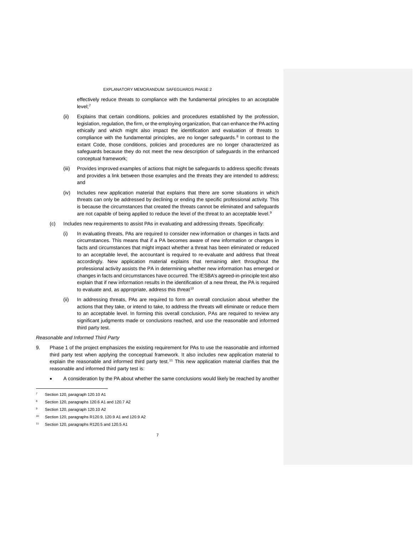effectively reduce threats to compliance with the fundamental principles to an acceptable level; [7](#page-6-0)

- (ii) Explains that certain conditions, policies and procedures established by the profession, legislation, regulation, the firm, or the employing organization, that can enhance the PA acting ethically and which might also impact the identification and evaluation of threats to compliance with the fundamental principles, are no longer safeguards.<sup>[8](#page-6-1)</sup> In contrast to the extant Code, those conditions, policies and procedures are no longer characterized as safeguards because they do not meet the new description of safeguards in the enhanced conceptual framework;
- (iii) Provides improved examples of actions that might be safeguards to address specific threats and provides a link between those examples and the threats they are intended to address; and
- (iv) Includes new application material that explains that there are some situations in which threats can only be addressed by declining or ending the specific professional activity. This is because the circumstances that created the threats cannot be eliminated and safeguards are not capable of being applied to reduce the level of the threat to an acceptable level.<sup>[9](#page-6-2)</sup>
- (c) Includes new requirements to assist PAs in evaluating and addressing threats. Specifically:
	- (i) In evaluating threats, PAs are required to consider new information or changes in facts and circumstances. This means that if a PA becomes aware of new information or changes in facts and circumstances that might impact whether a threat has been eliminated or reduced to an acceptable level, the accountant is required to re-evaluate and address that threat accordingly. New application material explains that remaining alert throughout the professional activity assists the PA in determining whether new information has emerged or changes in facts and circumstances have occurred. The IESBA's agreed-in-principle text also explain that if new information results in the identification of a new threat, the PA is required to evaluate and, as appropriate, address this threat<sup>[10](#page-6-3)</sup>
	- (ii) In addressing threats, PAs are required to form an overall conclusion about whether the actions that they take, or intend to take, to address the threats will eliminate or reduce them to an acceptable level. In forming this overall conclusion, PAs are required to review any significant judgments made or conclusions reached, and use the reasonable and informed third party test.

#### *Reasonable and Informed Third Party*

- 9. Phase 1 of the project emphasizes the existing requirement for PAs to use the reasonable and informed third party test when applying the conceptual framework. It also includes new application material to explain the reasonable and informed third party test.<sup>[11](#page-6-4)</sup> This new application material clarifies that the reasonable and informed third party test is:
	- A consideration by the PA about whether the same conclusions would likely be reached by another

j

8 Section 120, paragraphs 120.6 A1 and 120.7 A2

Section 120, paragraphs R120.9, 120.9 A1 and 120.9 A2

Section 120, paragraph 120.10 A1

<sup>9</sup> Section 120, paragraph 120.10 A2

<span id="page-6-4"></span><span id="page-6-3"></span><span id="page-6-2"></span><span id="page-6-1"></span><span id="page-6-0"></span>Section 120, paragraphs R120.5 and 120.5 A1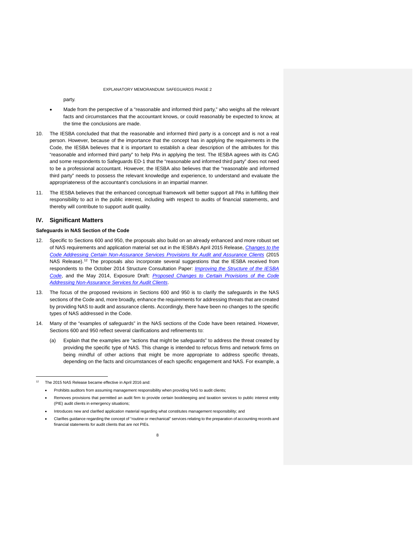party.

- Made from the perspective of a "reasonable and informed third party," who weighs all the relevant facts and circumstances that the accountant knows, or could reasonably be expected to know, at the time the conclusions are made.
- 10. The IESBA concluded that that the reasonable and informed third party is a concept and is not a real person. However, because of the importance that the concept has in applying the requirements in the Code, the IESBA believes that it is important to establish a clear description of the attributes for this "reasonable and informed third party" to help PAs in applying the test. The IESBA agrees with its CAG and some respondents to Safeguards ED-1 that the "reasonable and informed third party" does not need to be a professional accountant. However, the IESBA also believes that the "reasonable and informed third party" needs to possess the relevant knowledge and experience, to understand and evaluate the appropriateness of the accountant's conclusions in an impartial manner.
- 11. The IESBA believes that the enhanced conceptual framework will better support all PAs in fulfilling their responsibility to act in the public interest, including with respect to audits of financial statements, and thereby will contribute to support audit quality.

### <span id="page-7-0"></span>**IV. Significant Matters**

### **Safeguards in NAS Section of the Code**

- 12. Specific to Sections 600 and 950, the proposals also build on an already enhanced and more robust set of NAS requirements and application material set out in the IESBA's April 2015 Release, *[Changes to the](http://www.ifac.org/publications-resources/changes-code-addressing-certain-non-assurance-services-provisions-audit-and-a)  [Code Addressing Certain Non-Assurance Services Provisions for Audit and Assurance Clients](http://www.ifac.org/publications-resources/changes-code-addressing-certain-non-assurance-services-provisions-audit-and-a)* (2015 NAS Release).<sup>[12](#page-7-1)</sup> The proposals also incorporate several suggestions that the IESBA received from respondents to the October 2014 Structure Consultation Paper: *[Improving the Structure of the IESBA](http://www.ifac.org/publications-resources/improving-structure-code-ethics-professional-accountants)  [Code](http://www.ifac.org/publications-resources/improving-structure-code-ethics-professional-accountants)*, and the May 2014, Exposure Draft: *[Proposed Changes to Certain Provisions of the Code](http://www.ifac.org/publications-resources/proposed-changes-certain-provisions-code-addressing-long-association-personne)  [Addressing Non-Assurance Services for Audit Clients](http://www.ifac.org/publications-resources/proposed-changes-certain-provisions-code-addressing-long-association-personne)*.
- 13. The focus of the proposed revisions in Sections 600 and 950 is to clarify the safeguards in the NAS sections of the Code and, more broadly, enhance the requirements for addressing threats that are created by providing NAS to audit and assurance clients. Accordingly, there have been no changes to the specific types of NAS addressed in the Code.
- 14. Many of the "examples of safeguards" in the NAS sections of the Code have been retained. However, Sections 600 and 950 reflect several clarifications and refinements to:
	- (a) Explain that the examples are "actions that might be safeguards" to address the threat created by providing the specific type of NAS. This change is intended to refocus firms and network firms on being mindful of other actions that might be more appropriate to address specific threats, depending on the facts and circumstances of each specific engagement and NAS. For example, a

<sup>12</sup> The 2015 NAS Release became effective in April 2016 and:

<sup>•</sup> Prohibits auditors from assuming management responsibility when providing NAS to audit clients;

<sup>•</sup> Removes provisions that permitted an audit firm to provide certain bookkeeping and taxation services to public interest entity (PIE) audit clients in emergency situations;

<span id="page-7-1"></span><sup>•</sup> Introduces new and clarified application material regarding what constitutes management responsibility; and

<sup>•</sup> Clarifies guidance regarding the concept of "routine or mechanical" services relating to the preparation of accounting records and financial statements for audit clients that are not PIEs.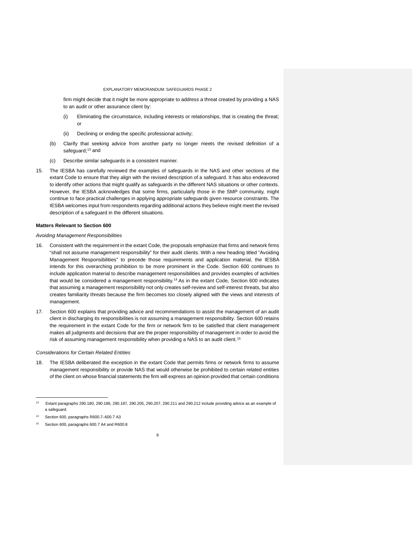firm might decide that it might be more appropriate to address a threat created by providing a NAS to an audit or other assurance client by:

- (i) Eliminating the circumstance, including interests or relationships, that is creating the threat;  $\Omega$
- (ii) Declining or ending the specific professional activity;
- (b) Clarify that seeking advice from another party no longer meets the revised definition of a safeguard; $13$  and
- (c) Describe similar safeguards in a consistent manner.
- 15. The IESBA has carefully reviewed the examples of safeguards in the NAS and other sections of the extant Code to ensure that they align with the revised description of a safeguard. It has also endeavored to identify other actions that might qualify as safeguards in the different NAS situations or other contexts. However, the IESBA acknowledges that some firms, particularly those in the SMP community, might continue to face practical challenges in applying appropriate safeguards given resource constraints. The IESBA welcomes input from respondents regarding additional actions they believe might meet the revised description of a safeguard in the different situations.

#### **Matters Relevant to Section 600**

#### *Avoiding Management Responsibilities*

- 16. Consistent with the requirement in the extant Code, the proposals emphasize that firms and network firms "shall not assume management responsibility" for their audit clients. With a new heading titled "Avoiding Management Responsibilities" to precede those requirements and application material, the IESBA intends for this overarching prohibition to be more prominent in the Code. Section 600 continues to include application material to describe management responsibilities and provides examples of activities that would be considered a management responsibility.<sup>[14](#page-8-1)</sup> As in the extant Code, Section 600 indicates that assuming a management responsibility not only creates self-review and self-interest threats, but also creates familiarity threats because the firm becomes too closely aligned with the views and interests of management.
- 17. Section 600 explains that providing advice and recommendations to assist the management of an audit client in discharging its responsibilities is not assuming a management responsibility. Section 600 retains the requirement in the extant Code for the firm or network firm to be satisfied that client management makes all judgments and decisions that are the proper responsibility of management in order to avoid the risk of assuming management responsibility when providing a NAS to an audit client.[15](#page-8-2)

#### *Considerations for Certain Related Entities*

18. The IESBA deliberated the exception in the extant Code that permits firms or network firms to assume management responsibility or provide NAS that would otherwise be prohibited to certain related entities of the client on whose financial statements the firm will express an opinion provided that certain conditions

<sup>13</sup> Extant paragraphs 290.180, 290.186, 290.187, 290.205, 290.207, 290.211 and 290.212 include providing advice as an example of a safeguard.

Section 600, paragraphs R600.7-600.7 A3

<span id="page-8-2"></span><span id="page-8-1"></span><span id="page-8-0"></span>Section 600, paragraphs 600.7 A4 and R600.8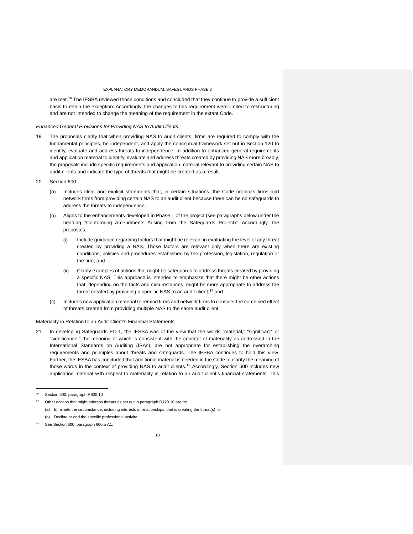are met.<sup>[16](#page-9-0)</sup> The IESBA reviewed those conditions and concluded that they continue to provide a sufficient basis to retain the exception. Accordingly, the changes to this requirement were limited to restructuring and are not intended to change the meaning of the requirement in the extant Code.

#### *Enhanced General Provisions for Providing NAS to Audit Clients*

- 19. The proposals clarify that when providing NAS to audit clients, firms are required to comply with the fundamental principles, be independent, and apply the conceptual framework set out in Section 120 to identify, evaluate and address threats to independence. In addition to enhanced general requirements and application material to identify, evaluate and address threats created by providing NAS more broadly, the proposals include specific requirements and application material relevant to providing certain NAS to audit clients and indicate the type of threats that might be created as a result.
- 20. Section 600:
	- (a) Includes clear and explicit statements that, in certain situations, the Code prohibits firms and network firms from providing certain NAS to an audit client because there can be no safeguards to address the threats to independence;
	- (b) Aligns to the enhancements developed in Phase 1 of the project (see paragraphs below under the heading "Conforming Amendments Arising from the Safeguards Project)". Accordingly, the proposals:
		- (i) Include guidance regarding factors that might be relevant in evaluating the level of any threat created by providing a NAS. Those factors are relevant only when there are existing conditions, policies and procedures established by the profession, legislation, regulation or the firm; and
		- (ii) Clarify examples of actions that might be safeguards to address threats created by providing a specific NAS. This approach is intended to emphasize that there might be other actions that, depending on the facts and circumstances, might be more appropriate to address the threat created by providing a specific NAS to an audit client;<sup>[17](#page-9-1)</sup> and
	- (c) Includes new application material to remind firms and network firms to consider the combined effect of threats created from providing multiple NAS to the same audit client.

#### Materiality in Relation to an Audit Client's Financial Statements

21. In developing Safeguards ED-1, the IESBA was of the view that the words "material," "significant" or "significance," the meaning of which is consistent with the concept of materiality as addressed in the International Standards on Auditing (ISAs), are not appropriate for establishing the overarching requirements and principles about threats and safeguards. The IESBA continues to hold this view. Further, the IESBA has concluded that additional material is needed in the Code to clarify the meaning of those words in the context of providing NAS to audit clients.<sup>[18](#page-9-2)</sup> Accordingly, Section 600 includes new application material with respect to materiality in relation to an audit client's financial statements. This

Section 600, paragraph R600.10

Other actions that might address threats as set out in paragraph R120.10 are to:

<sup>(</sup>a) Eliminate the circumstance, including interests or relationships, that is creating the threat(s); or

<sup>(</sup>b) Decline or end the specific professional activity.

<span id="page-9-2"></span><span id="page-9-1"></span><span id="page-9-0"></span>See Section 600, paragraph 600.5 A1.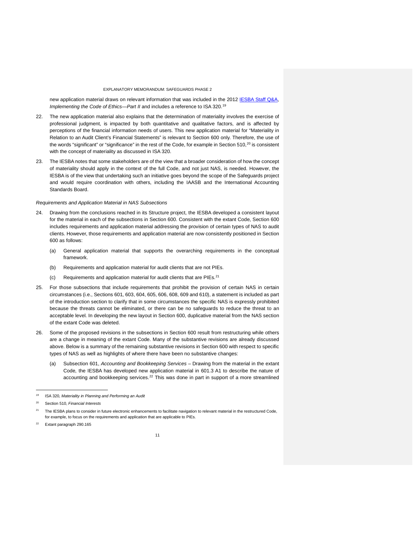new application material draws on relevant information that was included in the 2012 IESBA Staff Q&A, *Implementing the Code of Ethics—Part II* and includes a reference to ISA 320.<sup>[19](#page-10-0)</sup>

- 22. The new application material also explains that the determination of materiality involves the exercise of professional judgment, is impacted by both quantitative and qualitative factors, and is affected by perceptions of the financial information needs of users. This new application material for "Materiality in Relation to an Audit Client's Financial Statements" is relevant to Section 600 only. Therefore, the use of the words "significant" or "significance" in the rest of the Code, for example in Section 510, $^{20}$  $^{20}$  $^{20}$  is consistent with the concept of materiality as discussed in ISA 320.
- 23. The IESBA notes that some stakeholders are of the view that a broader consideration of how the concept of materiality should apply in the context of the full Code, and not just NAS, is needed. However, the IESBA is of the view that undertaking such an initiative goes beyond the scope of the Safeguards project and would require coordination with others, including the IAASB and the International Accounting Standards Board.

#### *Requirements and Application Material in NAS Subsections*

- 24. Drawing from the conclusions reached in its Structure project, the IESBA developed a consistent layout for the material in each of the subsections in Section 600. Consistent with the extant Code, Section 600 includes requirements and application material addressing the provision of certain types of NAS to audit clients. However, those requirements and application material are now consistently positioned in Section 600 as follows:
	- (a) General application material that supports the overarching requirements in the conceptual framework.
	- (b) Requirements and application material for audit clients that are not PIEs.
	- (c) Requirements and application material for audit clients that are PIEs.[21](#page-10-2)
- 25. For those subsections that include requirements that prohibit the provision of certain NAS in certain circumstances (i.e., Sections 601, 603, 604, 605, 606, 608, 609 and 610), a statement is included as part of the introduction section to clarify that in some circumstances the specific NAS is expressly prohibited because the threats cannot be eliminated, or there can be no safeguards to reduce the threat to an acceptable level. In developing the new layout in Section 600, duplicative material from the NAS section of the extant Code was deleted.
- 26. Some of the proposed revisions in the subsections in Section 600 result from restructuring while others are a change in meaning of the extant Code. Many of the substantive revisions are already discussed above. Below is a summary of the remaining substantive revisions in Section 600 with respect to specific types of NAS as well as highlights of where there have been no substantive changes:
	- (a) Subsection 601, *Accounting and Bookkeeping Services* Drawing from the material in the extant Code, the IESBA has developed new application material in 601.3 A1 to describe the nature of accounting and bookkeeping services.<sup>[22](#page-10-3)</sup> This was done in part in support of a more streamlined

*<sup>19</sup>* ISA 320*, Materiality in Planning and Performing an Audit* 

<sup>20</sup> Section 510, *Financial Interests*

<sup>&</sup>lt;sup>21</sup> The IESBA plans to consider in future electronic enhancements to facilitate navigation to relevant material in the restructured Code, for example, to focus on the requirements and application that are applicable to PIEs.

<span id="page-10-3"></span><span id="page-10-2"></span><span id="page-10-1"></span><span id="page-10-0"></span><sup>22</sup> Extant paragraph 290.165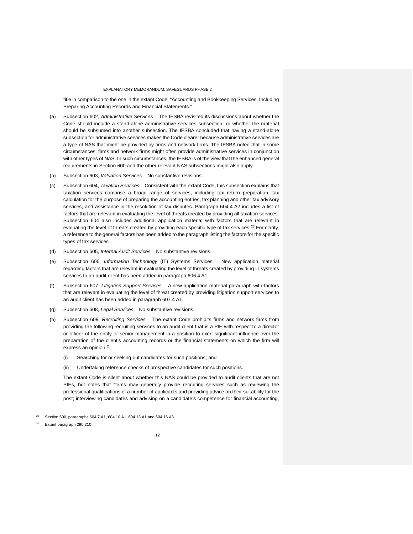title in comparison to the one in the extant Code, "Accounting and Bookkeeping Services, Including Preparing Accounting Records and Financial Statements."

- (a) Subsection 602, *Administrative Services* The IESBA revisited its discussions about whether the Code should include a stand-alone administrative services subsection, or whether the material should be subsumed into another subsection. The IESBA concluded that having a stand-alone subsection for administrative services makes the Code clearer because administrative services are a type of NAS that might be provided by firms and network firms. The IESBA noted that in some circumstances, firms and network firms might often provide administrative services in conjunction with other types of NAS. In such circumstances, the IESBA is of the view that the enhanced general requirements in Section 600 and the other relevant NAS subsections might also apply.
- (b) Subsection 603, *Valuation Services* No substantive revisions.
- (c) Subsection 604, *Taxation Services* Consistent with the extant Code, this subsection explains that taxation services comprise a broad range of services, including tax return preparation, tax calculation for the purpose of preparing the accounting entries, tax planning and other tax advisory services, and assistance in the resolution of tax disputes. Paragraph 604.4 A2 includes a list of factors that are relevant in evaluating the level of threats created by providing all taxation services. Subsection 604 also includes additional application material with factors that are relevant in evaluating the level of threats created by providing each specific type of tax services.<sup>[23](#page-11-0)</sup> For clarity, a reference to the general factors has been added to the paragraph listing the factors for the specific types of tax services.
- (d) Subsection 605, *Internal Audit Services* No substantive revisions.
- (e) Subsection 606, *Information Technology* (IT) Systems Services New application material regarding factors that are relevant in evaluating the level of threats created by providing IT systems services to an audit client has been added in paragraph 606.4 A1.
- (f) Subsection 607, *Litigation Support Services* A new application material paragraph with factors that are relevant in evaluating the level of threat created by providing litigation support services to an audit client has been added in paragraph 607.4 A1.
- (g) Subsection 608, *Legal Services* No substantive revisions.
- (h) Subsection 609, *Recruiting Services* The extant Code prohibits firms and network firms from providing the following recruiting services to an audit client that is a PIE with respect to a director or officer of the entity or senior management in a position to exert significant influence over the preparation of the client's accounting records or the financial statements on which the firm will express an opinion: [24](#page-11-1)
	- (i) Searching for or seeking out candidates for such positions; and
	- (ii) Undertaking reference checks of prospective candidates for such positions.

The extant Code is silent about whether this NAS could be provided to audit clients that are not PIEs, but notes that "firms may generally provide recruiting services such as reviewing the professional qualifications of a number of applicants and providing advice on their suitability for the post; interviewing candidates and advising on a candidate's competence for financial accounting,

<sup>23</sup> Section 600, paragraphs 604.7 A1, 604.10 A1, 604.13 A1 and 604.16 A3

<span id="page-11-1"></span><span id="page-11-0"></span>Extant paragraph 290.210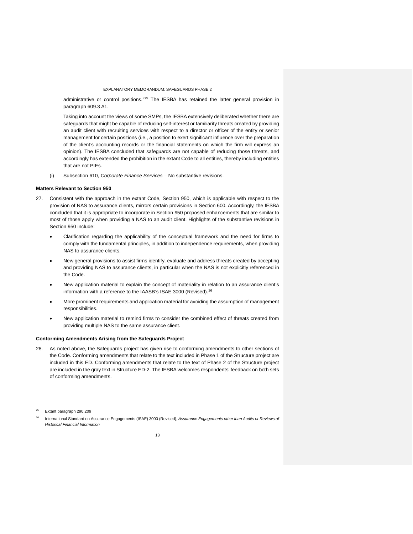administrative or control positions."<sup>25</sup> The IESBA has retained the latter general provision in paragraph 609.3 A1.

Taking into account the views of some SMPs, the IESBA extensively deliberated whether there are safeguards that might be capable of reducing self-interest or familiarity threats created by providing an audit client with recruiting services with respect to a director or officer of the entity or senior management for certain positions (i.e., a position to exert significant influence over the preparation of the client's accounting records or the financial statements on which the firm will express an opinion). The IESBA concluded that safeguards are not capable of reducing those threats, and accordingly has extended the prohibition in the extant Code to all entities, thereby including entities that are not PIEs.

(i) Subsection 610, *Corporate Finance Services* – No substantive revisions.

### **Matters Relevant to Section 950**

- 27. Consistent with the approach in the extant Code, Section 950, which is applicable with respect to the provision of NAS to assurance clients, mirrors certain provisions in Section 600. Accordingly, the IESBA concluded that it is appropriate to incorporate in Section 950 proposed enhancements that are similar to most of those apply when providing a NAS to an audit client. Highlights of the substantive revisions in Section 950 include:
	- Clarification regarding the applicability of the conceptual framework and the need for firms to comply with the fundamental principles, in addition to independence requirements, when providing NAS to assurance clients.
	- New general provisions to assist firms identify, evaluate and address threats created by accepting and providing NAS to assurance clients, in particular when the NAS is not explicitly referenced in the Code.
	- New application material to explain the concept of materiality in relation to an assurance client's information with a reference to the IAASB's ISAE 3000 (Revised).<sup>[26](#page-12-1)</sup>
	- More prominent requirements and application material for avoiding the assumption of management responsibilities.
	- New application material to remind firms to consider the combined effect of threats created from providing multiple NAS to the same assurance client.

#### **Conforming Amendments Arising from the Safeguards Project**

28. As noted above, the Safeguards project has given rise to conforming amendments to other sections of the Code. Conforming amendments that relate to the text included in Phase 1 of the Structure project are included in this ED. Conforming amendments that relate to the text of Phase 2 of the Structure project are included in the gray text in Structure ED-2. The IESBA welcomes respondents' feedback on both sets of conforming amendments.

<sup>25</sup> Extant paragraph 290.209

<span id="page-12-1"></span><span id="page-12-0"></span><sup>26</sup> International Standard on Assurance Engagements (ISAE) 3000 (Revised), *Assurance Engagements other than Audits or Reviews of Historical Financial Information*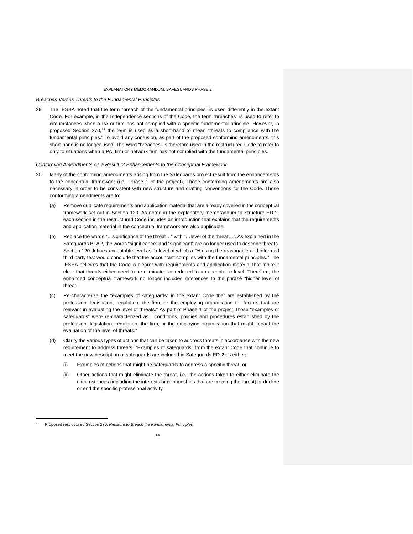*Breaches Verses Threats to the Fundamental Principles* 

29. The IESBA noted that the term "breach of the fundamental principles" is used differently in the extant Code. For example, in the Independence sections of the Code, the term "breaches" is used to refer to circumstances when a PA or firm has not complied with a specific fundamental principle. However, in proposed Section [27](#page-13-0)0,<sup>27</sup> the term is used as a short-hand to mean "threats to compliance with the fundamental principles." To avoid any confusion, as part of the proposed conforming amendments, this short-hand is no longer used. The word "breaches" is therefore used in the restructured Code to refer to only to situations when a PA, firm or network firm has not complied with the fundamental principles.

*Conforming Amendments As a Result of Enhancements to the Conceptual Framework* 

- 30. Many of the conforming amendments arising from the Safeguards project result from the enhancements to the conceptual framework (i.e., Phase 1 of the project). Those conforming amendments are also necessary in order to be consistent with new structure and drafting conventions for the Code. Those conforming amendments are to:
	- (a) Remove duplicate requirements and application material that are already covered in the conceptual framework set out in Section 120. As noted in the explanatory memorandum to Structure ED-2, each section in the restructured Code includes an introduction that explains that the requirements and application material in the conceptual framework are also applicable.
	- (b) Replace the words "…significance of the threat…" with "…level of the threat…". As explained in the Safeguards BFAP, the words "significance" and "significant" are no longer used to describe threats. Section 120 defines acceptable level as "a level at which a PA using the reasonable and informed third party test would conclude that the accountant complies with the fundamental principles." The IESBA believes that the Code is clearer with requirements and application material that make it clear that threats either need to be eliminated or reduced to an acceptable level. Therefore, the enhanced conceptual framework no longer includes references to the phrase "higher level of threat."
	- (c) Re-characterize the "examples of safeguards" in the extant Code that are established by the profession, legislation, regulation, the firm, or the employing organization to "factors that are relevant in evaluating the level of threats." As part of Phase 1 of the project, those "examples of safeguards" were re-characterized as " conditions, policies and procedures established by the profession, legislation, regulation, the firm, or the employing organization that might impact the evaluation of the level of threats."
	- (d) Clarify the various types of actions that can be taken to address threats in accordance with the new requirement to address threats. "Examples of safeguards" from the extant Code that continue to meet the new description of safeguards are included in Safeguards ED-2 as either:
		- (i) Examples of actions that might be safeguards to address a specific threat; or
		- (ii) Other actions that might eliminate the threat, i.e., the actions taken to either eliminate the circumstances (including the interests or relationships that are creating the threat) or decline or end the specific professional activity.

<span id="page-13-0"></span><sup>27</sup> Proposed restructured Section 270, *Pressure to Breach the Fundamental Principles*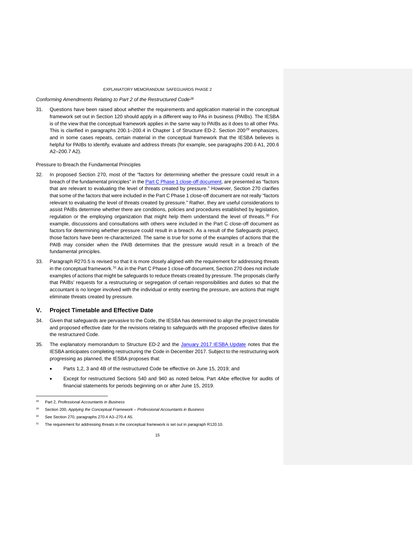*Conforming Amendments Relating to Part 2 of the Restructured Code[28](#page-14-1)*

31. Questions have been raised about whether the requirements and application material in the conceptual framework set out in Section 120 should apply in a different way to PAs in business (PAIBs). The IESBA is of the view that the conceptual framework applies in the same way to PAIBs as it does to all other PAs. This is clarified in paragraphs 200.1–200.4 in Chapter 1 of Structure ED-2. Section 200<sup>29</sup> emphasizes, and in some cases repeats, certain material in the conceptual framework that the IESBA believes is helpful for PAIBs to identify, evaluate and address threats (for example, see paragraphs 200.6 A1, 200.6 A2–200.7 A2).

#### Pressure to Breach the Fundamental Principles

- 32. In proposed Section 270, most of the "factors for determining whether the pressure could result in a breach of the fundamental principles" in the [Part C Phase 1 close-off document,](http://www.ethicsboard.org/system/files/meetings/files/Agenda-Item-D-3.1-Part-C-Phase-1-Close-Off-Document.pdf) are presented as "factors that are relevant to evaluating the level of threats created by pressure." However, Section 270 clarifies that some of the factors that were included in the Part C Phase 1 close-off document are not really "factors relevant to evaluating the level of threats created by pressure." Rather, they are useful considerations to assist PAIBs determine whether there are conditions, policies and procedures established by legislation, regulation or the employing organization that might help them understand the level of threats.<sup>[30](#page-14-3)</sup> For example, discussions and consultations with others were included in the Part C close-off document as factors for determining whether pressure could result in a breach. As a result of the Safeguards project, those factors have been re-characterized. The same is true for some of the examples of actions that the PAIB may consider when the PAIB determines that the pressure would result in a breach of the fundamental principles.
- 33. Paragraph R270.5 is revised so that it is more closely aligned with the requirement for addressing threats in the conceptual framework.[31](#page-14-4) As in the Part C Phase 1 close-off document, Section 270 does not include examples of actions that might be safeguards to reduce threats created by pressure. The proposals clarify that PAIBs' requests for a restructuring or segregation of certain responsibilities and duties so that the accountant is no longer involved with the individual or entity exerting the pressure, are actions that might eliminate threats created by pressure.

#### <span id="page-14-0"></span>**V. Project Timetable and Effective Date**

- 34. Given that safeguards are pervasive to the Code, the IESBA has determined to align the project timetable and proposed effective date for the revisions relating to safeguards with the proposed effective dates for the restructured Code.
- 35. The explanatory memorandum to Structure ED-2 and the [January 2017 IESBA Update](https://www.ifac.org/publications-resources/iesba-update-toward-restrutured-international-code-ethics) notes that the IESBA anticipates completing restructuring the Code in December 2017. Subject to the restructuring work progressing as planned, the IESBA proposes that:
	- Parts 1,2, 3 and 4B of the restructured Code be effective on June 15, 2019; and
	- Except for restructured Sections 540 and 940 as noted below, Part 4Abe effective for audits of financial statements for periods beginning on or after June 15, 2019.

<sup>28</sup> Part 2, *Professional Accountants in Business*

<sup>29</sup> Section 200, *Applying the Conceptual Framework – Professional Accountants in Business*

See Section 270, paragraphs 270.4 A3-270.4 A5.

<span id="page-14-4"></span><span id="page-14-3"></span><span id="page-14-2"></span><span id="page-14-1"></span>The requirement for addressing threats in the conceptual framework is set out in paragraph R120.10.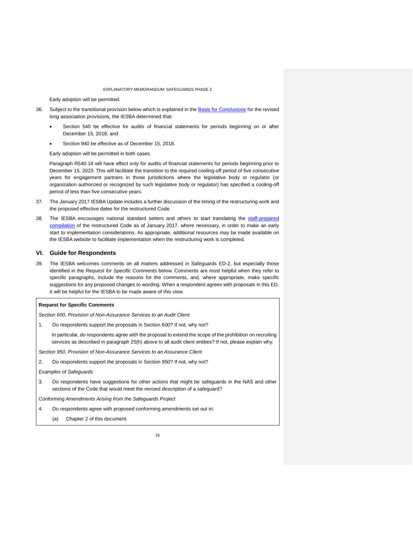Early adoption will be permitted.

- 36. Subject to the transitional provision below which is explained in the **Basis for Conclusions** for the revised long association provisions, the IESBA determined that:
	- Section 540 be effective for audits of financial statements for periods beginning on or after December 15, 2018; and
	- Section 940 be effective as of December 15, 2018.

Early adoption will be permitted in both cases.

Paragraph R540.18 will have effect only for audits of financial statements for periods beginning prior to December 15, 2023. This will facilitate the transition to the required cooling-off period of five consecutive years for engagement partners in those jurisdictions where the legislative body or regulator (or organization authorized or recognized by such legislative body or regulator) has specified a cooling-off period of less than five consecutive years.

- 37. The January 2017 IESBA Update includes a further discussion of the timing of the restructuring work and the proposed effective dates for the restructured Code.
- 38. The IESBA encourages national standard setters and others to start translating the staff-prepared [compilation](https://www.ifac.org/publications-resources/iesba-update-toward-restrutured-international-code-ethics) of the restructured Code as of January 2017, where necessary, in order to make an early start to implementation considerations. As appropriate, additional resources may be made available on the IESBA website to facilitate implementation when the restructuring work is completed.

### <span id="page-15-0"></span>**VI. Guide for Respondents**

39. The IESBA welcomes comments on all matters addressed in Safeguards ED-2, but especially those identified in the *Request for Specific Comments* below. Comments are most helpful when they refer to specific paragraphs, include the reasons for the comments, and, where appropriate, make specific suggestions for any proposed changes to wording. When a respondent agrees with proposals in this ED, it will be helpful for the IESBA to be made aware of this view.

#### **Request for Specific Comments**

*Section 600, Provision of Non-Assurance Services to an Audit Client* 

- 1. Do respondents support the proposals in Section 600? If not, why not?
	- In particular, do respondents agree with the proposal to extend the scope of the prohibition on recruiting services as described in paragraph 25(h) above to all audit client entities? If not, please explain why.

*Section 950, Provision of Non-Assurance Services to an Assurance Client* 

2. Do respondents support the proposals in Section 950? If not, why not?

### *Examples of Safeguards*

3. Do respondents have suggestions for other actions that might be safeguards in the NAS and other sections of the Code that would meet the revised description of a safeguard?

*Conforming Amendments Arising from the Safeguards Project* 

- 4. Do respondents agree with proposed conforming amendments set out in:
	- (a) Chapter 2 of this document.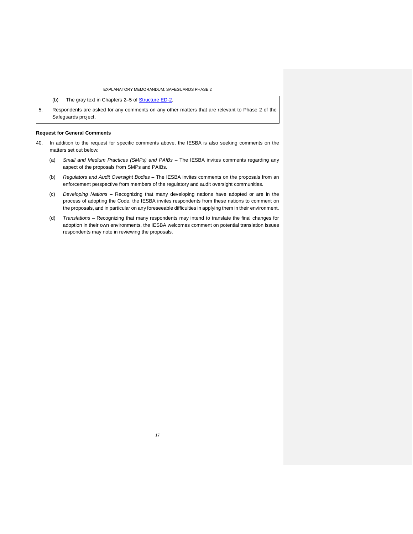(b) The gray text in Chapters 2-5 of [Structure ED-2.](https://www.ifac.org/publications-resources/improving-structure-code-ethics-professional-accountants-phase-2)

5. Respondents are asked for any comments on any other matters that are relevant to Phase 2 of the Safeguards project.

### **Request for General Comments**

- 40. In addition to the request for specific comments above, the IESBA is also seeking comments on the matters set out below:
	- (a) *Small and Medium Practices (SMPs) and PAIBs –* The IESBA invites comments regarding any aspect of the proposals from SMPs and PAIBs.
	- (b) *Regulators and Audit Oversight Bodies –* The IESBA invites comments on the proposals from an enforcement perspective from members of the regulatory and audit oversight communities.
	- (c) *Developing Nations –* Recognizing that many developing nations have adopted or are in the process of adopting the Code, the IESBA invites respondents from these nations to comment on the proposals, and in particular on any foreseeable difficulties in applying them in their environment.
	- (d) *Translations –* Recognizing that many respondents may intend to translate the final changes for adoption in their own environments, the IESBA welcomes comment on potential translation issues respondents may note in reviewing the proposals.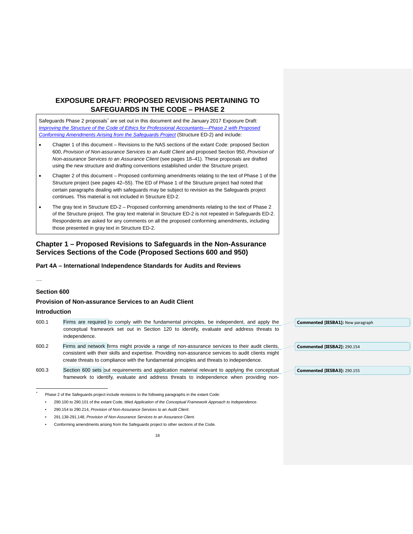# <span id="page-17-0"></span>**EXPOSURE DRAFT: PROPOSED REVISIONS PERTAINING TO SAFEGUARDS IN THE CODE – PHASE 2**

Safeguards Phase 2 proposals' are set out in this document and the January 2017 Exposure Draft: *[Improving the Structure of the Code of Ethics for Professional Accountants—Phase 2 with Proposed](https://www.ifac.org/publications-resources/improving-structure-code-ethics-professional-accountants-phase-2)  [Conforming Amendments Arising from the Safeguards Project](https://www.ifac.org/publications-resources/improving-structure-code-ethics-professional-accountants-phase-2)* (Structure ED-2) and include:

- Chapter 1 of this document Revisions to the NAS sections of the extant Code: proposed Section 600, *Provision of Non-assurance Services to an Audit Client* and proposed Section 950, *Provision of Non-assurance Services to an Assurance Client* (see pages 18–41). These proposals are drafted using the new structure and drafting conventions established under the Structure project.
- Chapter 2 of this document Proposed conforming amendments relating to the text of Phase 1 of the Structure project (see pages 42–55). The ED of Phase 1 of the Structure project had noted that certain paragraphs dealing with safeguards may be subject to revision as the Safeguards project continues. This material is not included in Structure ED-2.
- The gray text in Structure ED-2 Proposed conforming amendments relating to the text of Phase 2 of the Structure project. The gray text material in Structure ED-2 is not repeated in Safeguards ED-2. Respondents are asked for any comments on all the proposed conforming amendments, including those presented in gray text in Structure ED-2.

# <span id="page-17-1"></span>**Chapter 1 – Proposed Revisions to Safeguards in the Non-Assurance Services Sections of the Code (Proposed Sections 600 and 950)**

### **Part 4A – International Independence Standards for Audits and Reviews**

…

### **Section 600**

### **Provision of Non-assurance Services to an Audit Client**

### **Introduction**

- 600.1 Firms are required to comply with the fundamental principles, be independent, and apply the conceptual framework set out in Section 120 to identify, evaluate and address threats to independence.
- 600.2 Firms and network firms might provide a range of non-assurance services to their audit clients, consistent with their skills and expertise. Providing non-assurance services to audit clients might create threats to compliance with the fundamental principles and threats to independence.
- 600.3 Section 600 sets out requirements and application material relevant to applying the conceptual framework to identify, evaluate and address threats to independence when providing non-

- 291.138-291.148, *Provision of Non-Assurance Services to an Assurance Client*.
- <span id="page-17-2"></span>• Conforming amendments arising from the Safeguards project to other sections of the Code.

**Commented [IESBA1]:** New paragraph

**Commented [IESBA2]:** 290.154

**Commented [IESBA3]:** 290.155

 <sup>\*</sup> Phase 2 of the Safeguards project include revisions to the following paragraphs in the extant Code:

<sup>•</sup> 290.100 to 290.101 of the extant Code, titled *Application of the Conceptual Framework Approach to Independence*.

<sup>•</sup> 290.154 to 290.214, *Provision of Non-Assurance Services to an Audit Client*.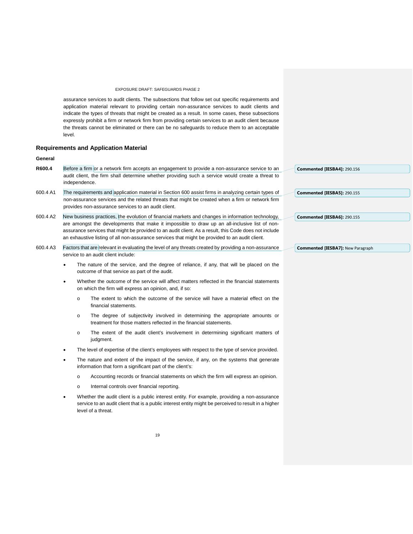assurance services to audit clients. The subsections that follow set out specific requirements and application material relevant to providing certain non-assurance services to audit clients and indicate the types of threats that might be created as a result. In some cases, these subsections expressly prohibit a firm or network firm from providing certain services to an audit client because the threats cannot be eliminated or there can be no safeguards to reduce them to an acceptable level.

### **Requirements and Application Material**

### **General**

| R600.4 | Before a firm or a network firm accepts an engagement to provide a non-assurance service to an   | Commented [IESBA4]: 290.156 |
|--------|--------------------------------------------------------------------------------------------------|-----------------------------|
|        | audit client, the firm shall determine whether providing such a service would create a threat to |                             |
|        | independence.                                                                                    |                             |
|        |                                                                                                  |                             |

- 600.4 A1 The requirements and application material in Section 600 assist firms in analyzing certain types of non-assurance services and the related threats that might be created when a firm or network firm provides non-assurance services to an audit client.
- 600.4 A2 New business practices, the evolution of financial markets and changes in information technology, are amongst the developments that make it impossible to draw up an all-inclusive list of nonassurance services that might be provided to an audit client. As a result, this Code does not include an exhaustive listing of all non-assurance services that might be provided to an audit client.
- 600.4 A3 Factors that are relevant in evaluating the level of any threats created by providing a non-assurance service to an audit client include:
	- The nature of the service, and the degree of reliance, if any, that will be placed on the outcome of that service as part of the audit.
	- Whether the outcome of the service will affect matters reflected in the financial statements on which the firm will express an opinion, and, if so:
		- o The extent to which the outcome of the service will have a material effect on the financial statements.
		- o The degree of subjectivity involved in determining the appropriate amounts or treatment for those matters reflected in the financial statements.
		- o The extent of the audit client's involvement in determining significant matters of judament.
	- The level of expertise of the client's employees with respect to the type of service provided.
	- The nature and extent of the impact of the service, if any, on the systems that generate information that form a significant part of the client's:
		- o Accounting records or financial statements on which the firm will express an opinion.
		- o Internal controls over financial reporting.
	- Whether the audit client is a public interest entity. For example, providing a non-assurance service to an audit client that is a public interest entity might be perceived to result in a higher level of a threat.

**Commented [IESBA6]:** 290.155

**Commented [IESBA5]:** 290.155

**Commented [IESBA7]:** New Paragraph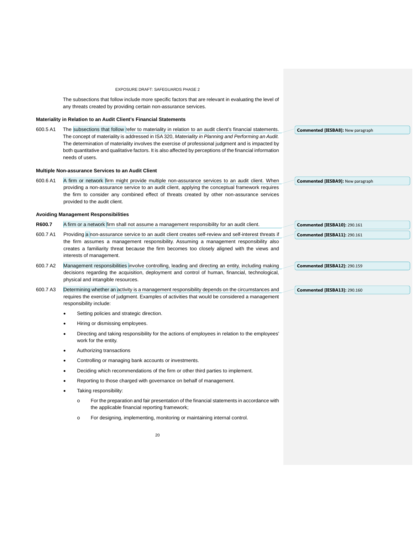The subsections that follow include more specific factors that are relevant in evaluating the level of any threats created by providing certain non-assurance services.

### **Materiality in Relation to an Audit Client's Financial Statements**

600.5 A1 The subsections that follow refer to materiality in relation to an audit client's financial statements. The concept of materiality is addressed in ISA 320, *Materiality in Planning and Performing an Audit.* The determination of materiality involves the exercise of professional judgment and is impacted by both quantitative and qualitative factors. It is also affected by perceptions of the financial information needs of users.

### **Multiple Non-assurance Services to an Audit Client**

600.6 A1 A firm or network firm might provide multiple non-assurance services to an audit client. When providing a non-assurance service to an audit client, applying the conceptual framework requires the firm to consider any combined effect of threats created by other non-assurance services provided to the audit client.

#### **Avoiding Management Responsibilities**

- **R600.7** A firm or a network firm shall not assume a management responsibility for an audit client.
- 600.7 A1 Providing a non-assurance service to an audit client creates self-review and self-interest threats if the firm assumes a management responsibility. Assuming a management responsibility also creates a familiarity threat because the firm becomes too closely aligned with the views and interests of management.
- 600.7 A2 Management responsibilities involve controlling, leading and directing an entity, including making decisions regarding the acquisition, deployment and control of human, financial, technological, physical and intangible resources.
- 600.7 A3 Determining whether an activity is a management responsibility depends on the circumstances and requires the exercise of judgment. Examples of activities that would be considered a management responsibility include:
	- Setting policies and strategic direction.
	- Hiring or dismissing employees.
	- Directing and taking responsibility for the actions of employees in relation to the employees' work for the entity.
	- Authorizing transactions
	- Controlling or managing bank accounts or investments.
	- Deciding which recommendations of the firm or other third parties to implement.
	- Reporting to those charged with governance on behalf of management.
	- Taking responsibility:
		- o For the preparation and fair presentation of the financial statements in accordance with the applicable financial reporting framework;
		- o For designing, implementing, monitoring or maintaining internal control.

**Commented [IESBA9]:** New paragraph

**Commented [IESBA8]:** New paragraph

## **Commented [IESBA13]:** 290.160

**Commented [IESBA11]:** 290.161

**Commented [IESBA10]:** 290.161

**Commented [IESBA12]:** 290.159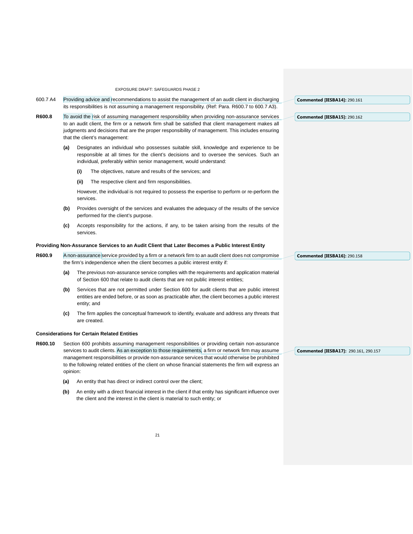- 600.7 A4 Providing advice and recommendations to assist the management of an audit client in discharging its responsibilities is not assuming a management responsibility. (Ref: Para. R600.7 to 600.7 A3). **Commented [IESBA14]:** 290.161
- **R600.8** To avoid the risk of assuming management responsibility when providing non-assurance services to an audit client, the firm or a network firm shall be satisfied that client management makes all judgments and decisions that are the proper responsibility of management. This includes ensuring that the client's management:
	- **(a)** Designates an individual who possesses suitable skill, knowledge and experience to be responsible at all times for the client's decisions and to oversee the services. Such an individual, preferably within senior management, would understand:
		- **(i)** The objectives, nature and results of the services; and
		- **(ii)** The respective client and firm responsibilities.

However, the individual is not required to possess the expertise to perform or re-perform the services.

- **(b)** Provides oversight of the services and evaluates the adequacy of the results of the service performed for the client's purpose.
- **(c)** Accepts responsibility for the actions, if any, to be taken arising from the results of the services.

#### **Providing Non-Assurance Services to an Audit Client that Later Becomes a Public Interest Entity**

- R600.9 A non-assurance service provided by a firm or a network firm to an audit client does not compromise the firm's independence when the client becomes a public interest entity if:
	- **(a)** The previous non-assurance service complies with the requirements and application material of Section 600 that relate to audit clients that are not public interest entities;
	- **(b)** Services that are not permitted under Section 600 for audit clients that are public interest entities are ended before, or as soon as practicable after, the client becomes a public interest entity; and
	- **(c)** The firm applies the conceptual framework to identify, evaluate and address any threats that are created.

### **Considerations for Certain Related Entities**

- **R600.10** Section 600 prohibits assuming management responsibilities or providing certain non-assurance services to audit clients. As an exception to those requirements, a firm or network firm may assume management responsibilities or provide non-assurance services that would otherwise be prohibited to the following related entities of the client on whose financial statements the firm will express an opinion:
	- **(a)** An entity that has direct or indirect control over the client;
	- **(b)** An entity with a direct financial interest in the client if that entity has significant influence over the client and the interest in the client is material to such entity; or

**Commented [IESBA16]:** 290.158

**Commented [IESBA15]:** 290.162

**Commented [IESBA17]:** 290.161, 290.157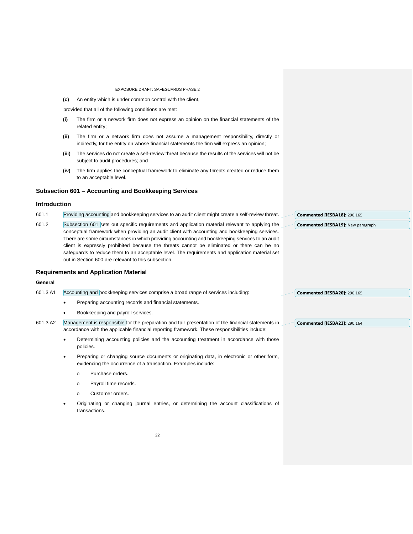**(c)** An entity which is under common control with the client,

provided that all of the following conditions are met:

- **(i)** The firm or a network firm does not express an opinion on the financial statements of the related entity;
- **(ii)** The firm or a network firm does not assume a management responsibility, directly or indirectly, for the entity on whose financial statements the firm will express an opinion;
- **(iii)** The services do not create a self-review threat because the results of the services will not be subject to audit procedures; and
- **(iv)** The firm applies the conceptual framework to eliminate any threats created or reduce them to an acceptable level.

### **Subsection 601 – Accounting and Bookkeeping Services**

### **Introduction**

601.1 Providing accounting and bookkeeping services to an audit client might create a self-review threat.

601.2 Subsection 601 sets out specific requirements and application material relevant to applying the conceptual framework when providing an audit client with accounting and bookkeeping services. There are some circumstances in which providing accounting and bookkeeping services to an audit client is expressly prohibited because the threats cannot be eliminated or there can be no safeguards to reduce them to an acceptable level. The requirements and application material set out in Section 600 are relevant to this subsection.

### **Requirements and Application Material**

### **General**

| 601.3 A1 | Accounting and bookkeeping services comprise a broad range of services including:<br><b>Commented [IESBA20]: 290.165</b>           |
|----------|------------------------------------------------------------------------------------------------------------------------------------|
|          | Preparing accounting records and financial statements.                                                                             |
|          | Bookkeeping and payroll services.                                                                                                  |
| 601.3 A2 | Management is responsible for the preparation and fair presentation of the financial statements in<br>Commented [IESBA21]: 290.164 |
|          | accordance with the applicable financial reporting framework. These responsibilities include:                                      |

- Determining accounting policies and the accounting treatment in accordance with those policies.
- Preparing or changing source documents or originating data, in electronic or other form, evidencing the occurrence of a transaction. Examples include:
	- o Purchase orders.
	- o Payroll time records.
	- o Customer orders.
- Originating or changing journal entries, or determining the account classifications of transactions.

**Commented [IESBA18]:** 290.165 **Commented [IESBA19]:** New paragraph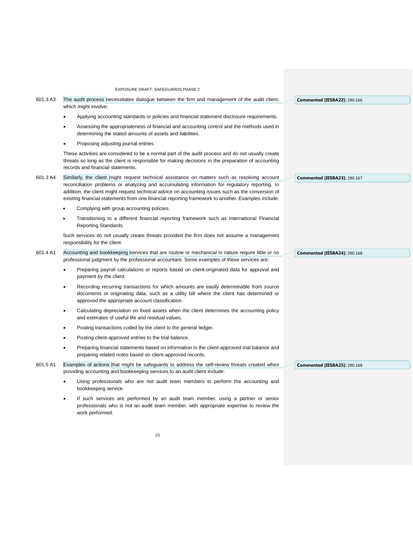601.3 A3 The audit process necessitates dialogue between the firm and management of the audit client, which might involve:

- Applying accounting standards or policies and financial statement disclosure requirements.
- Assessing the appropriateness of financial and accounting control and the methods used in determining the stated amounts of assets and liabilities.
- Proposing adjusting journal entries.

These activities are considered to be a normal part of the audit process and do not usually create threats so long as the client is responsible for making decisions in the preparation of accounting records and financial statements.

- 601.3 A4 Similarly, the client might request technical assistance on matters such as resolving account reconciliation problems or analyzing and accumulating information for regulatory reporting. In addition, the client might request technical advice on accounting issues such as the conversion of existing financial statements from one financial reporting framework to another. Examples include:
	- Complying with group accounting policies.
	- Transitioning to a different financial reporting framework such as International Financial Reporting Standards.

Such services do not usually create threats provided the firm does not assume a management responsibility for the client.

- 601.4 A1 Accounting and bookkeeping services that are routine or mechanical in nature require little or no professional judgment by the professional accountant. Some examples of these services are:
	- Preparing payroll calculations or reports based on client-originated data for approval and payment by the client.
	- Recording recurring transactions for which amounts are easily determinable from source documents or originating data, such as a utility bill where the client has determined or approved the appropriate account classification.
	- Calculating depreciation on fixed assets when the client determines the accounting policy and estimates of useful life and residual values.
	- Posting transactions coded by the client to the general ledger.
	- Posting client-approved entries to the trial balance.
	- Preparing financial statements based on information in the client-approved trial balance and preparing related notes based on client-approved records.
- 601.5 A1 Examples of actions that might be safeguards to address the self-review threats created when providing accounting and bookkeeping services to an audit client include:
	- Using professionals who are not audit team members to perform the accounting and bookkeeping service.
	- If such services are performed by an audit team member, using a partner or senior professionals who is not an audit team member, with appropriate expertise to review the work performed.

**Commented [IESBA22]:** 290.166

**Commented [IESBA23]:** 290.167

**Commented [IESBA24]:** 290.168

**Commented [IESBA25]:** 290.168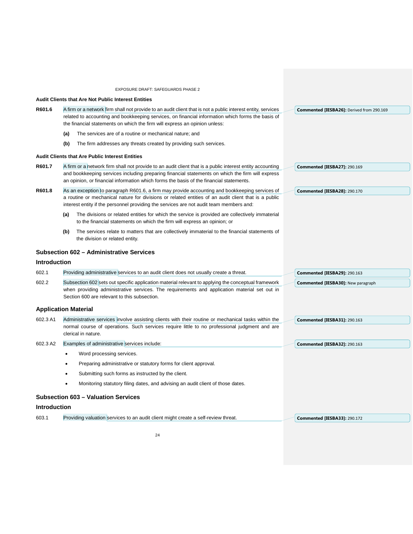|                     | EXPOSURE DRAFT: SAFEGUARDS PHASE 2                                                                                                                                                                                                                                                                       |                                           |
|---------------------|----------------------------------------------------------------------------------------------------------------------------------------------------------------------------------------------------------------------------------------------------------------------------------------------------------|-------------------------------------------|
|                     | <b>Audit Clients that Are Not Public Interest Entities</b>                                                                                                                                                                                                                                               |                                           |
| R601.6              | A firm or a network firm shall not provide to an audit client that is not a public interest entity, services<br>related to accounting and bookkeeping services, on financial information which forms the basis of<br>the financial statements on which the firm will express an opinion unless:          | Commented [IESBA26]: Derived from 290.169 |
|                     | The services are of a routine or mechanical nature; and<br>(a)                                                                                                                                                                                                                                           |                                           |
|                     | The firm addresses any threats created by providing such services.<br>(b)                                                                                                                                                                                                                                |                                           |
|                     | <b>Audit Clients that Are Public Interest Entities</b>                                                                                                                                                                                                                                                   |                                           |
| R601.7              | A firm or a network firm shall not provide to an audit client that is a public interest entity accounting<br>and bookkeeping services including preparing financial statements on which the firm will express<br>an opinion, or financial information which forms the basis of the financial statements. | <b>Commented [IESBA27]: 290.169</b>       |
| R601.8              | As an exception to paragraph R601.6, a firm may provide accounting and bookkeeping services of<br>a routine or mechanical nature for divisions or related entities of an audit client that is a public<br>interest entity if the personnel providing the services are not audit team members and:        | <b>Commented [IESBA28]: 290.170</b>       |
|                     | The divisions or related entities for which the service is provided are collectively immaterial<br>(a)<br>to the financial statements on which the firm will express an opinion; or                                                                                                                      |                                           |
|                     | The services relate to matters that are collectively immaterial to the financial statements of<br>(b)<br>the division or related entity.                                                                                                                                                                 |                                           |
|                     | <b>Subsection 602 - Administrative Services</b>                                                                                                                                                                                                                                                          |                                           |
| <b>Introduction</b> |                                                                                                                                                                                                                                                                                                          |                                           |
| 602.1               | Providing administrative services to an audit client does not usually create a threat.                                                                                                                                                                                                                   | <b>Commented [IESBA29]: 290.163</b>       |
| 602.2               | Subsection 602 sets out specific application material relevant to applying the conceptual framework<br>when providing administrative services. The requirements and application material set out in<br>Section 600 are relevant to this subsection.                                                      | <b>Commented [IESBA30]: New paragraph</b> |
|                     | <b>Application Material</b>                                                                                                                                                                                                                                                                              |                                           |
| 602.3 A1            | Administrative services involve assisting clients with their routine or mechanical tasks within the<br>normal course of operations. Such services require little to no professional judgment and are<br>clerical in nature.                                                                              | <b>Commented [IESBA31]: 290.163</b>       |
| 602.3 A2            | Examples of administrative services include:                                                                                                                                                                                                                                                             | <b>Commented [IESBA32]: 290.163</b>       |
|                     | Word processing services.<br>٠                                                                                                                                                                                                                                                                           |                                           |
|                     | Preparing administrative or statutory forms for client approval.                                                                                                                                                                                                                                         |                                           |
|                     | Submitting such forms as instructed by the client.                                                                                                                                                                                                                                                       |                                           |
|                     | Monitoring statutory filing dates, and advising an audit client of those dates.<br>$\bullet$                                                                                                                                                                                                             |                                           |
|                     | <b>Subsection 603 - Valuation Services</b>                                                                                                                                                                                                                                                               |                                           |
| <b>Introduction</b> |                                                                                                                                                                                                                                                                                                          |                                           |
| 603.1               | Providing valuation services to an audit client might create a self-review threat.                                                                                                                                                                                                                       | <b>Commented [IESBA33]: 290.172</b>       |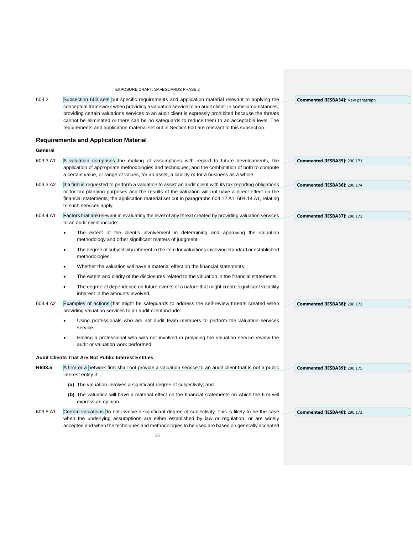# EXPOSURE DRAFT: SAFEGUARDS PHASE 2 603.2 Subsection 603 sets out specific requirements and application material relevant to applying the conceptual framework when providing a valuation service to an audit client. In some circumstances, providing certain valuations services to an audit client is expressly prohibited because the threats cannot be eliminated or there can be no safeguards to reduce them to an acceptable level. The requirements and application material set out in Section 600 are relevant to this subsection. **Requirements and Application Material General**  603.3 A1 A valuation comprises the making of assumptions with regard to future developments, the application of appropriate methodologies and techniques, and the combination of both to compute a certain value, or range of values, for an asset, a liability or for a business as a whole. 603.3 A2 If a firm is requested to perform a valuation to assist an audit client with its tax reporting obligations or for tax planning purposes and the results of the valuation will not have a direct effect on the financial statements, the application material set out in paragraphs 604.12 A1–604.14 A1, relating to such services apply. 603.4 A1 Factors that are relevant in evaluating the level of any threat created by providing valuation services to an audit client include: The extent of the client's involvement in determining and approving the valuation methodology and other significant matters of judgment. • The degree of subjectivity inherent in the item for valuations involving standard or established methodologies. Whether the valuation will have a material effect on the financial statements. The extent and clarity of the disclosures related to the valuation in the financial statements. The degree of dependence on future events of a nature that might create significant volatility inherent in the amounts involved. 603.4 A2 Examples of actions that might be safeguards to address the self-review threats created when providing valuation services to an audit client include: • Using professionals who are not audit team members to perform the valuation services service. • Having a professional who was not involved in providing the valuation service review the audit or valuation work performed. **Audit Clients That Are Not Public Interest Entities R603.5** A firm or a network firm shall not provide a valuation service to an audit client that is not a public interest entity if: **(a)** The valuation involves a significant degree of subjectivity; and **(b)** The valuation will have a material effect on the financial statements on which the firm will express an opinion. 603.5 A1 Certain valuations do not involve a significant degree of subjectivity. This is likely to be the case when the underlying assumptions are either established by law or regulation, or are widely accepted and when the techniques and methodologies to be used are based on generally accepted **Commented [IESBA34]:** New paragraph **Commented [IESBA35]:** 290.171 **Commented [IESBA36]:** 290.174 **Commented [IESBA37]:** 290.172 **Commented [IESBA38]:** 290.172 **Commented [IESBA39]:** 290.175 **Commented [IESBA40]:** 290.173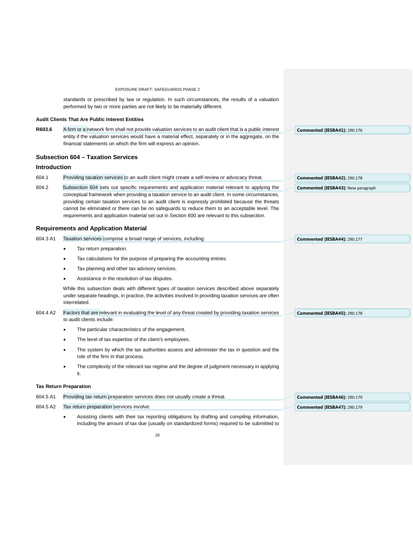|                     | EXPOSURE DRAFT: SAFEGUARDS PHASE 2                                                                                                                                                                                          |                                           |
|---------------------|-----------------------------------------------------------------------------------------------------------------------------------------------------------------------------------------------------------------------------|-------------------------------------------|
|                     | standards or prescribed by law or regulation. In such circumstances, the results of a valuation<br>performed by two or more parties are not likely to be materially different.                                              |                                           |
|                     | <b>Audit Clients That Are Public Interest Entities</b>                                                                                                                                                                      |                                           |
| R603.6              | A firm or a network firm shall not provide valuation services to an audit client that is a public interest                                                                                                                  | <b>Commented [IESBA41]: 290.176</b>       |
|                     | entity if the valuation services would have a material effect, separately or in the aggregate, on the<br>financial statements on which the firm will express an opinion.                                                    |                                           |
|                     | <b>Subsection 604 - Taxation Services</b>                                                                                                                                                                                   |                                           |
| <b>Introduction</b> |                                                                                                                                                                                                                             |                                           |
| 604.1               | Providing taxation services to an audit client might create a self-review or advocacy threat.                                                                                                                               | Commented [IESBA42]: 290.178              |
| 604.2               | Subsection 604 sets out specific requirements and application material relevant to applying the                                                                                                                             | <b>Commented [IESBA43]: New paragraph</b> |
|                     | conceptual framework when providing a taxation service to an audit client. In some circumstances,<br>providing certain taxation services to an audit client is expressly prohibited because the threats                     |                                           |
|                     | cannot be eliminated or there can be no safeguards to reduce them to an acceptable level. The                                                                                                                               |                                           |
|                     | requirements and application material set out in Section 600 are relevant to this subsection.                                                                                                                               |                                           |
|                     | <b>Requirements and Application Material</b>                                                                                                                                                                                |                                           |
| 604.3 A1            | Taxation services comprise a broad range of services, including:                                                                                                                                                            | Commented [IESBA44]: 290.177              |
|                     | Tax return preparation.                                                                                                                                                                                                     |                                           |
|                     | Tax calculations for the purpose of preparing the accounting entries.                                                                                                                                                       |                                           |
|                     | Tax planning and other tax advisory services.                                                                                                                                                                               |                                           |
|                     | Assistance in the resolution of tax disputes.                                                                                                                                                                               |                                           |
|                     | While this subsection deals with different types of taxation services described above separately<br>under separate headings, in practice, the activities involved in providing taxation services are often<br>interrelated. |                                           |
| 604.4 A2            | Factors that are relevant in evaluating the level of any threat created by providing taxation services<br>to audit clients include:                                                                                         | Commented [IESBA45]: 290.178              |
|                     | The particular characteristics of the engagement.<br>٠                                                                                                                                                                      |                                           |
|                     | The level of tax expertise of the client's employees.                                                                                                                                                                       |                                           |
|                     | The system by which the tax authorities assess and administer the tax in question and the<br>role of the firm in that process.                                                                                              |                                           |
|                     | The complexity of the relevant tax regime and the degree of judgment necessary in applying<br>it.                                                                                                                           |                                           |
|                     | <b>Tax Return Preparation</b>                                                                                                                                                                                               |                                           |
| 604.5 A1            | Providing tax return preparation services does not usually create a threat.                                                                                                                                                 | <b>Commented [IESBA46]: 290.179</b>       |
| 604.5 A2            | Tax return preparation services involve:                                                                                                                                                                                    | Commented [IESBA47]: 290.179              |
|                     | Assisting clients with their tax reporting obligations by drafting and compiling information,<br>including the amount of tax due (usually on standardized forms) required to be submitted to                                |                                           |
|                     |                                                                                                                                                                                                                             |                                           |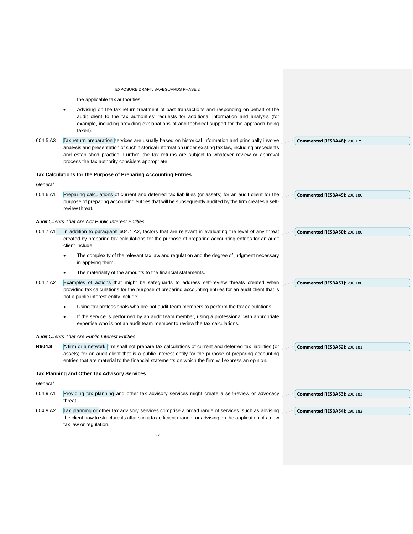the applicable tax authorities.

• Advising on the tax return treatment of past transactions and responding on behalf of the audit client to the tax authorities' requests for additional information and analysis (for example, including providing explanations of and technical support for the approach being taken). 604.5 A3 Tax return preparation services are usually based on historical information and principally involve analysis and presentation of such historical information under existing tax law, including precedents and established practice. Further, the tax returns are subject to whatever review or approval process the tax authority considers appropriate. **Tax Calculations for the Purpose of Preparing Accounting Entries**  *General*  604.6 A1 Preparing calculations of current and deferred tax liabilities (or assets) for an audit client for the purpose of preparing accounting entries that will be subsequently audited by the firm creates a selfreview threat. *Audit Clients That Are Not Public Interest Entities*  604.7 A1 In addition to paragraph 604.4 A2, factors that are relevant in evaluating the level of any threat created by preparing tax calculations for the purpose of preparing accounting entries for an audit client include: The complexity of the relevant tax law and regulation and the degree of judgment necessary in applying them. The materiality of the amounts to the financial statements. 604.7 A2 Examples of actions that might be safeguards to address self-review threats created when providing tax calculations for the purpose of preparing accounting entries for an audit client that is not a public interest entity include: • Using tax professionals who are not audit team members to perform the tax calculations. If the service is performed by an audit team member, using a professional with appropriate expertise who is not an audit team member to review the tax calculations. *Audit Clients That Are Public Interest Entities* **R604.8** A firm or a network firm shall not prepare tax calculations of current and deferred tax liabilities (or assets) for an audit client that is a public interest entity for the purpose of preparing accounting entries that are material to the financial statements on which the firm will express an opinion. **Tax Planning and Other Tax Advisory Services** *General*  604.9 A1 Providing tax planning and other tax advisory services might create a self-review or advocacy threat. 604.9 A2 Tax planning or other tax advisory services comprise a broad range of services, such as advising the client how to structure its affairs in a tax efficient manner or advising on the application of a new tax law or regulation. **Commented [IESBA48]:** 290.179 **Commented [IESBA49]:** 290.180 **Commented [IESBA50]:** 290.180 **Commented [IESBA51]:** 290.180 **Commented [IESBA52]:** 290.181 **Commented [IESBA53]:** 290.183 **Commented [IESBA54]:** 290.182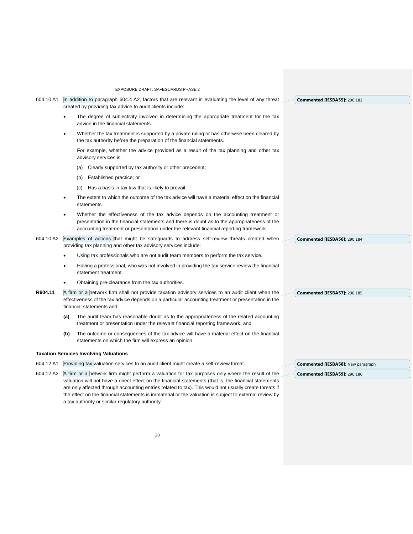|           | <b>EXPOSURE DRAFT: SAFEGUARDS PHASE 2</b>                                                                                                                                                                                                                                                 |                                           |
|-----------|-------------------------------------------------------------------------------------------------------------------------------------------------------------------------------------------------------------------------------------------------------------------------------------------|-------------------------------------------|
| 604.10 A1 | In addition to paragraph 604.4 A2, factors that are relevant in evaluating the level of any threat<br>created by providing tax advice to audit clients include:                                                                                                                           | <b>Commented [IESBA55]: 290.183</b>       |
|           | The degree of subjectivity involved in determining the appropriate treatment for the tax<br>advice in the financial statements.                                                                                                                                                           |                                           |
|           | Whether the tax treatment is supported by a private ruling or has otherwise been cleared by<br>$\bullet$<br>the tax authority before the preparation of the financial statements.                                                                                                         |                                           |
|           | For example, whether the advice provided as a result of the tax planning and other tax<br>advisory services is:                                                                                                                                                                           |                                           |
|           | Clearly supported by tax authority or other precedent;<br>(a)                                                                                                                                                                                                                             |                                           |
|           | Established practice; or<br>(b)                                                                                                                                                                                                                                                           |                                           |
|           | Has a basis in tax law that is likely to prevail.<br>(c)                                                                                                                                                                                                                                  |                                           |
|           | The extent to which the outcome of the tax advice will have a material effect on the financial<br>$\bullet$<br>statements.                                                                                                                                                                |                                           |
|           | Whether the effectiveness of the tax advice depends on the accounting treatment or<br>$\bullet$<br>presentation in the financial statements and there is doubt as to the appropriateness of the<br>accounting treatment or presentation under the relevant financial reporting framework. |                                           |
| 604.10 A2 | Examples of actions that might be safeguards to address self-review threats created when<br>providing tax planning and other tax advisory services include:                                                                                                                               | Commented [IESBA56]: 290.184              |
|           | Using tax professionals who are not audit team members to perform the tax service.                                                                                                                                                                                                        |                                           |
|           | Having a professional, who was not involved in providing the tax service review the financial<br>statement treatment.                                                                                                                                                                     |                                           |
|           | Obtaining pre-clearance from the tax authorities.                                                                                                                                                                                                                                         |                                           |
| R604.11   | A firm or a network firm shall not provide taxation advisory services to an audit client when the<br>effectiveness of the tax advice depends on a particular accounting treatment or presentation in the<br>financial statements and:                                                     | <b>Commented [IESBA57]: 290.185</b>       |
|           | The audit team has reasonable doubt as to the appropriateness of the related accounting<br>(a)<br>treatment or presentation under the relevant financial reporting framework; and                                                                                                         |                                           |
|           | (b)<br>The outcome or consequences of the tax advice will have a material effect on the financial<br>statements on which the firm will express an opinion.                                                                                                                                |                                           |
|           | <b>Taxation Services Involving Valuations</b>                                                                                                                                                                                                                                             |                                           |
|           | 604.12 A1 Providing tax valuation services to an audit client might create a self-review threat.                                                                                                                                                                                          | <b>Commented [IESBA58]: New paragraph</b> |
| 604.12 A2 | A firm or a network firm might perform a valuation for tax purposes only where the result of the                                                                                                                                                                                          | Commented [IESBA59]: 290.186              |
|           | valuation will not have a direct effect on the financial statements (that is, the financial statements                                                                                                                                                                                    |                                           |
|           | are only affected through accounting entries related to tax). This would not usually create threats if                                                                                                                                                                                    |                                           |
|           | the effect on the financial statements is immaterial or the valuation is subject to external review by                                                                                                                                                                                    |                                           |

a tax authority or similar regulatory authority.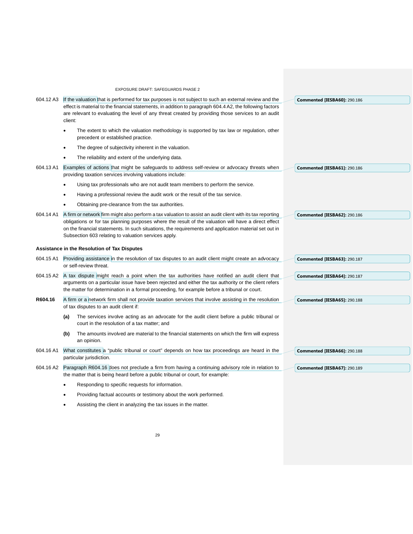|           | EXPOSURE DRAFT: SAFEGUARDS PHASE 2                                                                                                                                                                                                                                                                                                                                                  |                                     |
|-----------|-------------------------------------------------------------------------------------------------------------------------------------------------------------------------------------------------------------------------------------------------------------------------------------------------------------------------------------------------------------------------------------|-------------------------------------|
|           | 604.12 A3 If the valuation that is performed for tax purposes is not subject to such an external review and the                                                                                                                                                                                                                                                                     | <b>Commented [IESBA60]: 290.186</b> |
|           | effect is material to the financial statements, in addition to paragraph 604.4 A2, the following factors<br>are relevant to evaluating the level of any threat created by providing those services to an audit<br>client:                                                                                                                                                           |                                     |
|           | The extent to which the valuation methodology is supported by tax law or regulation, other<br>$\bullet$<br>precedent or established practice.                                                                                                                                                                                                                                       |                                     |
|           | The degree of subjectivity inherent in the valuation.<br>$\bullet$                                                                                                                                                                                                                                                                                                                  |                                     |
|           | The reliability and extent of the underlying data.<br>$\bullet$                                                                                                                                                                                                                                                                                                                     |                                     |
| 604.13 A1 | Examples of actions that might be safeguards to address self-review or advocacy threats when<br>providing taxation services involving valuations include:                                                                                                                                                                                                                           | Commented [IESBA61]: 290.186        |
|           | Using tax professionals who are not audit team members to perform the service.<br>$\bullet$                                                                                                                                                                                                                                                                                         |                                     |
|           | Having a professional review the audit work or the result of the tax service.<br>$\bullet$                                                                                                                                                                                                                                                                                          |                                     |
|           | Obtaining pre-clearance from the tax authorities.                                                                                                                                                                                                                                                                                                                                   |                                     |
| 604.14 A1 | A firm or network firm might also perform a tax valuation to assist an audit client with its tax reporting<br>obligations or for tax planning purposes where the result of the valuation will have a direct effect<br>on the financial statements. In such situations, the requirements and application material set out in<br>Subsection 603 relating to valuation services apply. | Commented [IESBA62]: 290.186        |
|           | <b>Assistance in the Resolution of Tax Disputes</b>                                                                                                                                                                                                                                                                                                                                 |                                     |
|           | 604.15 A1 Providing assistance in the resolution of tax disputes to an audit client might create an advocacy<br>or self-review threat.                                                                                                                                                                                                                                              | Commented [IESBA63]: 290.187        |
|           | 604.15 A2 A tax dispute might reach a point when the tax authorities have notified an audit client that<br>arguments on a particular issue have been rejected and either the tax authority or the client refers<br>the matter for determination in a formal proceeding, for example before a tribunal or court.                                                                     | Commented [IESBA64]: 290.187        |
| R604.16   | A firm or a network firm shall not provide taxation services that involve assisting in the resolution<br>of tax disputes to an audit client if:                                                                                                                                                                                                                                     | <b>Commented [IESBA65]: 290.188</b> |
|           | The services involve acting as an advocate for the audit client before a public tribunal or<br>(a)<br>court in the resolution of a tax matter; and                                                                                                                                                                                                                                  |                                     |
|           | The amounts involved are material to the financial statements on which the firm will express<br>(b)<br>an opinion.                                                                                                                                                                                                                                                                  |                                     |
| 604.16 A1 | What constitutes a "public tribunal or court" depends on how tax proceedings are heard in the<br>particular jurisdiction.                                                                                                                                                                                                                                                           | Commented [IESBA66]: 290.188        |
|           | 604.16 A2 Paragraph R604.16 does not preclude a firm from having a continuing advisory role in relation to<br>the matter that is being heard before a public tribunal or court, for example:                                                                                                                                                                                        | Commented [IESBA67]: 290.189        |
|           | Responding to specific requests for information.                                                                                                                                                                                                                                                                                                                                    |                                     |
|           | Providing factual accounts or testimony about the work performed.                                                                                                                                                                                                                                                                                                                   |                                     |

• Assisting the client in analyzing the tax issues in the matter.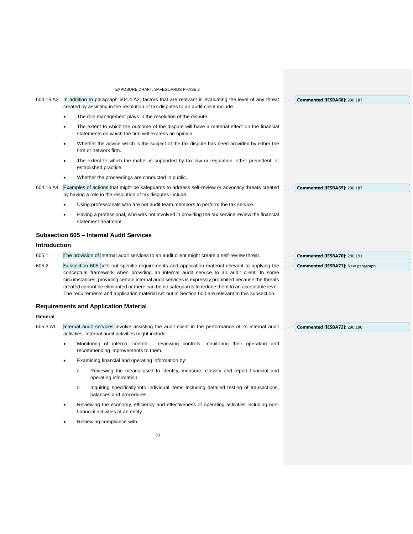|                     | <b>EXPOSURE DRAFT: SAFEGUARDS PHASE 2</b>                                                                                                                                                                                                                                                                                                                                                                                                                                                                                                                   |
|---------------------|-------------------------------------------------------------------------------------------------------------------------------------------------------------------------------------------------------------------------------------------------------------------------------------------------------------------------------------------------------------------------------------------------------------------------------------------------------------------------------------------------------------------------------------------------------------|
| 604.16 A3           | In addition to paragraph 604.4 A2, factors that are relevant in evaluating the level of any threat<br><b>Commented [IESBA68]: 290.187</b><br>created by assisting in the resolution of tax disputes to an audit client include:                                                                                                                                                                                                                                                                                                                             |
|                     | The role management plays in the resolution of the dispute.                                                                                                                                                                                                                                                                                                                                                                                                                                                                                                 |
|                     | The extent to which the outcome of the dispute will have a material effect on the financial<br>statements on which the firm will express an opinion.                                                                                                                                                                                                                                                                                                                                                                                                        |
|                     | Whether the advice which is the subject of the tax dispute has been provided by either the<br>$\bullet$<br>firm or network firm.                                                                                                                                                                                                                                                                                                                                                                                                                            |
|                     | The extent to which the matter is supported by tax law or regulation, other precedent, or<br>established practice.                                                                                                                                                                                                                                                                                                                                                                                                                                          |
|                     | Whether the proceedings are conducted in public.                                                                                                                                                                                                                                                                                                                                                                                                                                                                                                            |
| 604.16 A4           | Examples of actions that might be safeguards to address self-review or advocacy threats created<br>Commented [IESBA69]: 290.187<br>by having a role in the resolution of tax disputes include:                                                                                                                                                                                                                                                                                                                                                              |
|                     | Using professionals who are not audit team members to perform the tax service.                                                                                                                                                                                                                                                                                                                                                                                                                                                                              |
|                     | Having a professional, who was not involved in providing the tax service review the financial<br>statement treatment.                                                                                                                                                                                                                                                                                                                                                                                                                                       |
|                     | <b>Subsection 605 - Internal Audit Services</b>                                                                                                                                                                                                                                                                                                                                                                                                                                                                                                             |
| <b>Introduction</b> |                                                                                                                                                                                                                                                                                                                                                                                                                                                                                                                                                             |
| 605.1               | The provision of internal audit services to an audit client might create a self-review threat.<br><b>Commented [IESBA70]: 290.191</b>                                                                                                                                                                                                                                                                                                                                                                                                                       |
| 605.2               | Subsection 605 sets out specific requirements and application material relevant to applying the<br><b>Commented [IESBA71]:</b> New paragraph<br>conceptual framework when providing an internal audit service to an audit client. In some<br>circumstances, providing certain internal audit services is expressly prohibited because the threats<br>created cannot be eliminated or there can be no safeguards to reduce them to an acceptable level.<br>The requirements and application material set out in Section 600 are relevant to this subsection. |
|                     | <b>Requirements and Application Material</b>                                                                                                                                                                                                                                                                                                                                                                                                                                                                                                                |
| General             |                                                                                                                                                                                                                                                                                                                                                                                                                                                                                                                                                             |
|                     |                                                                                                                                                                                                                                                                                                                                                                                                                                                                                                                                                             |
| 605.3 A1            | Internal audit services involve assisting the audit client in the performance of its internal audit<br><b>Commented [IESBA72]: 290.190</b><br>activities. Internal audit activities might include:                                                                                                                                                                                                                                                                                                                                                          |
|                     | Monitoring of internal control – reviewing controls, monitoring their operation and<br>recommending improvements to them.                                                                                                                                                                                                                                                                                                                                                                                                                                   |
|                     | Examining financial and operating information by:                                                                                                                                                                                                                                                                                                                                                                                                                                                                                                           |
|                     | Reviewing the means used to identify, measure, classify and report financial and<br>$\circ$<br>operating information.                                                                                                                                                                                                                                                                                                                                                                                                                                       |
|                     | Inquiring specifically into individual items including detailed testing of transactions,<br>$\circ$<br>balances and procedures.                                                                                                                                                                                                                                                                                                                                                                                                                             |
|                     | Reviewing the economy, efficiency and effectiveness of operating activities including non-<br>financial activities of an entity.                                                                                                                                                                                                                                                                                                                                                                                                                            |
|                     | Reviewing compliance with:                                                                                                                                                                                                                                                                                                                                                                                                                                                                                                                                  |
|                     | 30                                                                                                                                                                                                                                                                                                                                                                                                                                                                                                                                                          |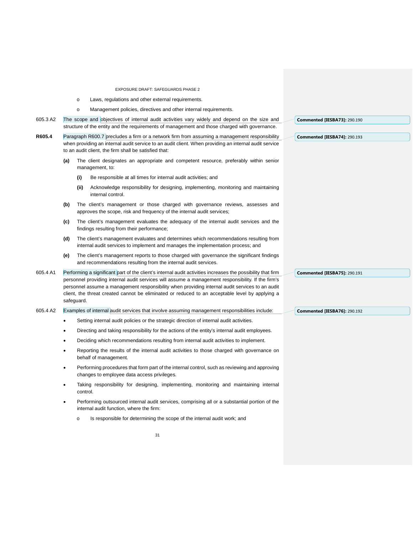- o Laws, regulations and other external requirements.
- o Management policies, directives and other internal requirements.
- 605.3 A2 The scope and objectives of internal audit activities vary widely and depend on the size and structure of the entity and the requirements of management and those charged with governance.
- **R605.4** Paragraph R600.7 precludes a firm or a network firm from assuming a management responsibility when providing an internal audit service to an audit client. When providing an internal audit service to an audit client, the firm shall be satisfied that:
	- **(a)** The client designates an appropriate and competent resource, preferably within senior management, to:
		- **(i)** Be responsible at all times for internal audit activities; and
		- **(ii)** Acknowledge responsibility for designing, implementing, monitoring and maintaining internal control.
	- **(b)** The client's management or those charged with governance reviews, assesses and approves the scope, risk and frequency of the internal audit services;
	- **(c)** The client's management evaluates the adequacy of the internal audit services and the findings resulting from their performance;
	- **(d)** The client's management evaluates and determines which recommendations resulting from internal audit services to implement and manages the implementation process; and
	- **(e)** The client's management reports to those charged with governance the significant findings and recommendations resulting from the internal audit services.
- 605.4 A1 Performing a significant part of the client's internal audit activities increases the possibility that firm personnel providing internal audit services will assume a management responsibility. If the firm's personnel assume a management responsibility when providing internal audit services to an audit client, the threat created cannot be eliminated or reduced to an acceptable level by applying a safeguard.
- 605.4 A2 Examples of internal audit services that involve assuming management responsibilities include:
	- Setting internal audit policies or the strategic direction of internal audit activities.
	- Directing and taking responsibility for the actions of the entity's internal audit employees.
	- Deciding which recommendations resulting from internal audit activities to implement.
	- Reporting the results of the internal audit activities to those charged with governance on behalf of management.
	- Performing procedures that form part of the internal control, such as reviewing and approving changes to employee data access privileges.
	- Taking responsibility for designing, implementing, monitoring and maintaining internal control.
	- Performing outsourced internal audit services, comprising all or a substantial portion of the internal audit function, where the firm:
		- o Is responsible for determining the scope of the internal audit work; and

**Commented [IESBA73]:** 290.190

**Commented [IESBA74]:** 290.193

**Commented [IESBA75]:** 290.191

**Commented [IESBA76]:** 290.192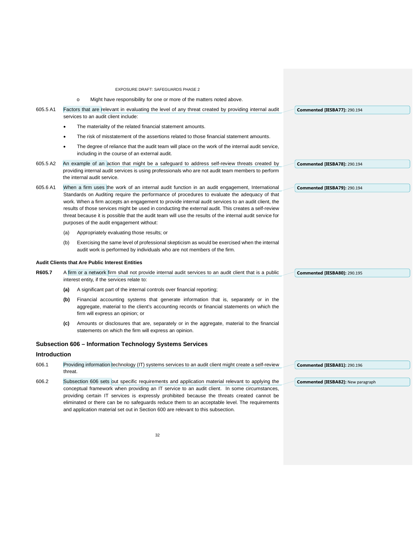- o Might have responsibility for one or more of the matters noted above.
- 605.5 A1 Factors that are relevant in evaluating the level of any threat created by providing internal audit services to an audit client include:
	- The materiality of the related financial statement amounts.
	- The risk of misstatement of the assertions related to those financial statement amounts.
	- The degree of reliance that the audit team will place on the work of the internal audit service, including in the course of an external audit.
- 605.5 A2 An example of an action that might be a safeguard to address self-review threats created by providing internal audit services is using professionals who are not audit team members to perform the internal audit service.
- 605.6 A1 When a firm uses the work of an internal audit function in an audit engagement, International Standards on Auditing require the performance of procedures to evaluate the adequacy of that work. When a firm accepts an engagement to provide internal audit services to an audit client, the results of those services might be used in conducting the external audit. This creates a self-review threat because it is possible that the audit team will use the results of the internal audit service for purposes of the audit engagement without:
	- (a) Appropriately evaluating those results; or
	- (b) Exercising the same level of professional skepticism as would be exercised when the internal audit work is performed by individuals who are not members of the firm.

### **Audit Clients that Are Public Interest Entities**

- **R605.7** A firm or a network firm shall not provide internal audit services to an audit client that is a public interest entity, if the services relate to:
	- **(a)** A significant part of the internal controls over financial reporting;
	- **(b)** Financial accounting systems that generate information that is, separately or in the aggregate, material to the client's accounting records or financial statements on which the firm will express an opinion; or
	- **(c)** Amounts or disclosures that are, separately or in the aggregate, material to the financial statements on which the firm will express an opinion.

# **Subsection 606 – Information Technology Systems Services**

#### **Introduction**

| 606.1 | Providing information technology (IT) systems services to an audit client might create a self-review<br>Commented [IESBA81]: 290.196 |  |
|-------|--------------------------------------------------------------------------------------------------------------------------------------|--|
|       | threat.                                                                                                                              |  |
| 606.2 | Subsection 606 sets out specific requirements and application material relevant to applying the<br>Commented [IESBA82]: New parag    |  |
|       | conceptual framework when providing an IT service to an audit client. In some circumstances,                                         |  |
|       | providing certain IT services is expressly prohibited because the threats created cannot be                                          |  |
|       | eliminated or there can be no safeguards reduce them to an acceptable level. The requirements                                        |  |
|       | and application material set out in Section 600 are relevant to this subsection.                                                     |  |

**Commented [IESBA77]:** 290.194

**Commented [IESBA79]:** 290.194

**Commented [IESBA78]:** 290.194

**Commented [IESBA80]:** 290.195

graph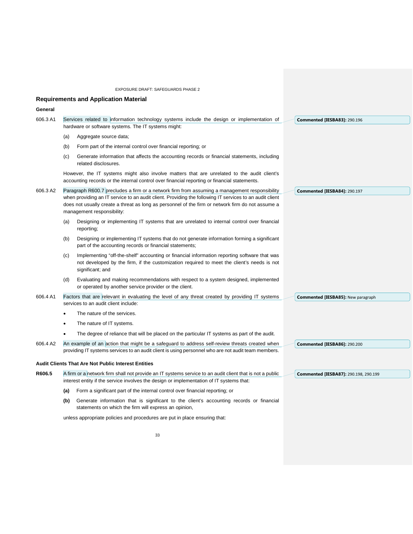# **Requirements and Application Material**

# **General**

| 606.3 A1 |     | Services related to information technology systems include the design or implementation of<br>hardware or software systems. The IT systems might:                                                                                                                                                                                           | Commented [IESBA83]: 290.196                 |
|----------|-----|---------------------------------------------------------------------------------------------------------------------------------------------------------------------------------------------------------------------------------------------------------------------------------------------------------------------------------------------|----------------------------------------------|
|          | (a) | Aggregate source data;                                                                                                                                                                                                                                                                                                                      |                                              |
|          | (b) | Form part of the internal control over financial reporting; or                                                                                                                                                                                                                                                                              |                                              |
|          | (c) | Generate information that affects the accounting records or financial statements, including<br>related disclosures.                                                                                                                                                                                                                         |                                              |
|          |     | However, the IT systems might also involve matters that are unrelated to the audit client's<br>accounting records or the internal control over financial reporting or financial statements.                                                                                                                                                 |                                              |
| 606.3 A2 |     | Paragraph R600.7 precludes a firm or a network firm from assuming a management responsibility<br>when providing an IT service to an audit client. Providing the following IT services to an audit client<br>does not usually create a threat as long as personnel of the firm or network firm do not assume a<br>management responsibility: | Commented [IESBA84]: 290.197                 |
|          | (a) | Designing or implementing IT systems that are unrelated to internal control over financial<br>reporting;                                                                                                                                                                                                                                    |                                              |
|          | (b) | Designing or implementing IT systems that do not generate information forming a significant<br>part of the accounting records or financial statements;                                                                                                                                                                                      |                                              |
|          | (c) | Implementing "off-the-shelf" accounting or financial information reporting software that was<br>not developed by the firm, if the customization required to meet the client's needs is not<br>significant; and                                                                                                                              |                                              |
|          | (d) | Evaluating and making recommendations with respect to a system designed, implemented<br>or operated by another service provider or the client.                                                                                                                                                                                              |                                              |
| 606.4 A1 |     | Factors that are relevant in evaluating the level of any threat created by providing IT systems<br>services to an audit client include:                                                                                                                                                                                                     | <b>Commented [IESBA85]: New paragraph</b>    |
|          |     | The nature of the services.                                                                                                                                                                                                                                                                                                                 |                                              |
|          |     | The nature of IT systems.                                                                                                                                                                                                                                                                                                                   |                                              |
|          |     | The degree of reliance that will be placed on the particular IT systems as part of the audit.                                                                                                                                                                                                                                               |                                              |
| 606.4 A2 |     | An example of an action that might be a safeguard to address self-review threats created when<br>providing IT systems services to an audit client is using personnel who are not audit team members.                                                                                                                                        | <b>Commented [IESBA86]: 290.200</b>          |
|          |     | <b>Audit Clients That Are Not Public Interest Entities</b>                                                                                                                                                                                                                                                                                  |                                              |
| R606.5   |     | A firm or a network firm shall not provide an IT systems service to an audit client that is not a public<br>interest entity if the service involves the design or implementation of IT systems that:                                                                                                                                        | <b>Commented [IESBA87]: 290.198, 290.199</b> |
|          | (a) | Form a significant part of the internal control over financial reporting; or                                                                                                                                                                                                                                                                |                                              |
|          | (b) | Generate information that is significant to the client's accounting records or financial<br>statements on which the firm will express an opinion,                                                                                                                                                                                           |                                              |
|          |     | unless appropriate policies and procedures are put in place ensuring that:                                                                                                                                                                                                                                                                  |                                              |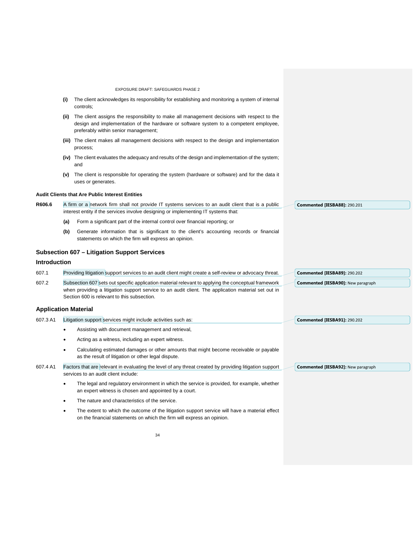| EXPOSURE DRAFT: SAFEGUARDS PHASE 2<br>The client acknowledges its responsibility for establishing and monitoring a system of internal<br>(i)<br>controls;<br>The client assigns the responsibility to make all management decisions with respect to the<br>(ii)<br>design and implementation of the hardware or software system to a competent employee,<br>preferably within senior management;<br>(iii) The client makes all management decisions with respect to the design and implementation<br>process;<br>(iv) The client evaluates the adequacy and results of the design and implementation of the system;<br>and<br>The client is responsible for operating the system (hardware or software) and for the data it<br>(v)<br>uses or generates.<br><b>Audit Clients that Are Public Interest Entities</b><br>R606.6<br>A firm or a network firm shall not provide IT systems services to an audit client that is a public<br><b>Commented [IESBA88]: 290.201</b><br>interest entity if the services involve designing or implementing IT systems that:<br>Form a significant part of the internal control over financial reporting; or<br>(a)<br>Generate information that is significant to the client's accounting records or financial<br>(b)<br>statements on which the firm will express an opinion.<br><b>Subsection 607 – Litigation Support Services</b><br><b>Introduction</b><br>607.1<br>Providing litigation support services to an audit client might create a self-review or advocacy threat.<br><b>Commented [IESBA89]: 290.202</b><br>607.2<br>Subsection 607 sets out specific application material relevant to applying the conceptual framework<br><b>Commented [IESBA90]:</b> New paragraph<br>when providing a litigation support service to an audit client. The application material set out in<br>Section 600 is relevant to this subsection.<br><b>Application Material</b><br>607.3 A1<br>Litigation support services might include activities such as:<br>Commented [IESBA91]: 290.202<br>Assisting with document management and retrieval,<br>Acting as a witness, including an expert witness.<br>Calculating estimated damages or other amounts that might become receivable or payable<br>as the result of litigation or other legal dispute.<br>607.4 A1<br>Factors that are relevant in evaluating the level of any threat created by providing litigation support<br><b>Commented [IESBA92]: New paragraph</b><br>services to an audit client include:<br>The legal and regulatory environment in which the service is provided, for example, whether<br>an expert witness is chosen and appointed by a court.<br>The nature and characteristics of the service.<br>The extent to which the outcome of the litigation support service will have a material effect<br>on the financial statements on which the firm will express an opinion. |  |  |
|----------------------------------------------------------------------------------------------------------------------------------------------------------------------------------------------------------------------------------------------------------------------------------------------------------------------------------------------------------------------------------------------------------------------------------------------------------------------------------------------------------------------------------------------------------------------------------------------------------------------------------------------------------------------------------------------------------------------------------------------------------------------------------------------------------------------------------------------------------------------------------------------------------------------------------------------------------------------------------------------------------------------------------------------------------------------------------------------------------------------------------------------------------------------------------------------------------------------------------------------------------------------------------------------------------------------------------------------------------------------------------------------------------------------------------------------------------------------------------------------------------------------------------------------------------------------------------------------------------------------------------------------------------------------------------------------------------------------------------------------------------------------------------------------------------------------------------------------------------------------------------------------------------------------------------------------------------------------------------------------------------------------------------------------------------------------------------------------------------------------------------------------------------------------------------------------------------------------------------------------------------------------------------------------------------------------------------------------------------------------------------------------------------------------------------------------------------------------------------------------------------------------------------------------------------------------------------------------------------------------------------------------------------------------------------------------------------------------------------------------------------------------------------------------------------------------------------------------------------------------------------------|--|--|
|                                                                                                                                                                                                                                                                                                                                                                                                                                                                                                                                                                                                                                                                                                                                                                                                                                                                                                                                                                                                                                                                                                                                                                                                                                                                                                                                                                                                                                                                                                                                                                                                                                                                                                                                                                                                                                                                                                                                                                                                                                                                                                                                                                                                                                                                                                                                                                                                                                                                                                                                                                                                                                                                                                                                                                                                                                                                                        |  |  |
|                                                                                                                                                                                                                                                                                                                                                                                                                                                                                                                                                                                                                                                                                                                                                                                                                                                                                                                                                                                                                                                                                                                                                                                                                                                                                                                                                                                                                                                                                                                                                                                                                                                                                                                                                                                                                                                                                                                                                                                                                                                                                                                                                                                                                                                                                                                                                                                                                                                                                                                                                                                                                                                                                                                                                                                                                                                                                        |  |  |
|                                                                                                                                                                                                                                                                                                                                                                                                                                                                                                                                                                                                                                                                                                                                                                                                                                                                                                                                                                                                                                                                                                                                                                                                                                                                                                                                                                                                                                                                                                                                                                                                                                                                                                                                                                                                                                                                                                                                                                                                                                                                                                                                                                                                                                                                                                                                                                                                                                                                                                                                                                                                                                                                                                                                                                                                                                                                                        |  |  |
|                                                                                                                                                                                                                                                                                                                                                                                                                                                                                                                                                                                                                                                                                                                                                                                                                                                                                                                                                                                                                                                                                                                                                                                                                                                                                                                                                                                                                                                                                                                                                                                                                                                                                                                                                                                                                                                                                                                                                                                                                                                                                                                                                                                                                                                                                                                                                                                                                                                                                                                                                                                                                                                                                                                                                                                                                                                                                        |  |  |
|                                                                                                                                                                                                                                                                                                                                                                                                                                                                                                                                                                                                                                                                                                                                                                                                                                                                                                                                                                                                                                                                                                                                                                                                                                                                                                                                                                                                                                                                                                                                                                                                                                                                                                                                                                                                                                                                                                                                                                                                                                                                                                                                                                                                                                                                                                                                                                                                                                                                                                                                                                                                                                                                                                                                                                                                                                                                                        |  |  |
|                                                                                                                                                                                                                                                                                                                                                                                                                                                                                                                                                                                                                                                                                                                                                                                                                                                                                                                                                                                                                                                                                                                                                                                                                                                                                                                                                                                                                                                                                                                                                                                                                                                                                                                                                                                                                                                                                                                                                                                                                                                                                                                                                                                                                                                                                                                                                                                                                                                                                                                                                                                                                                                                                                                                                                                                                                                                                        |  |  |
|                                                                                                                                                                                                                                                                                                                                                                                                                                                                                                                                                                                                                                                                                                                                                                                                                                                                                                                                                                                                                                                                                                                                                                                                                                                                                                                                                                                                                                                                                                                                                                                                                                                                                                                                                                                                                                                                                                                                                                                                                                                                                                                                                                                                                                                                                                                                                                                                                                                                                                                                                                                                                                                                                                                                                                                                                                                                                        |  |  |
|                                                                                                                                                                                                                                                                                                                                                                                                                                                                                                                                                                                                                                                                                                                                                                                                                                                                                                                                                                                                                                                                                                                                                                                                                                                                                                                                                                                                                                                                                                                                                                                                                                                                                                                                                                                                                                                                                                                                                                                                                                                                                                                                                                                                                                                                                                                                                                                                                                                                                                                                                                                                                                                                                                                                                                                                                                                                                        |  |  |
|                                                                                                                                                                                                                                                                                                                                                                                                                                                                                                                                                                                                                                                                                                                                                                                                                                                                                                                                                                                                                                                                                                                                                                                                                                                                                                                                                                                                                                                                                                                                                                                                                                                                                                                                                                                                                                                                                                                                                                                                                                                                                                                                                                                                                                                                                                                                                                                                                                                                                                                                                                                                                                                                                                                                                                                                                                                                                        |  |  |
|                                                                                                                                                                                                                                                                                                                                                                                                                                                                                                                                                                                                                                                                                                                                                                                                                                                                                                                                                                                                                                                                                                                                                                                                                                                                                                                                                                                                                                                                                                                                                                                                                                                                                                                                                                                                                                                                                                                                                                                                                                                                                                                                                                                                                                                                                                                                                                                                                                                                                                                                                                                                                                                                                                                                                                                                                                                                                        |  |  |
|                                                                                                                                                                                                                                                                                                                                                                                                                                                                                                                                                                                                                                                                                                                                                                                                                                                                                                                                                                                                                                                                                                                                                                                                                                                                                                                                                                                                                                                                                                                                                                                                                                                                                                                                                                                                                                                                                                                                                                                                                                                                                                                                                                                                                                                                                                                                                                                                                                                                                                                                                                                                                                                                                                                                                                                                                                                                                        |  |  |
|                                                                                                                                                                                                                                                                                                                                                                                                                                                                                                                                                                                                                                                                                                                                                                                                                                                                                                                                                                                                                                                                                                                                                                                                                                                                                                                                                                                                                                                                                                                                                                                                                                                                                                                                                                                                                                                                                                                                                                                                                                                                                                                                                                                                                                                                                                                                                                                                                                                                                                                                                                                                                                                                                                                                                                                                                                                                                        |  |  |
|                                                                                                                                                                                                                                                                                                                                                                                                                                                                                                                                                                                                                                                                                                                                                                                                                                                                                                                                                                                                                                                                                                                                                                                                                                                                                                                                                                                                                                                                                                                                                                                                                                                                                                                                                                                                                                                                                                                                                                                                                                                                                                                                                                                                                                                                                                                                                                                                                                                                                                                                                                                                                                                                                                                                                                                                                                                                                        |  |  |
|                                                                                                                                                                                                                                                                                                                                                                                                                                                                                                                                                                                                                                                                                                                                                                                                                                                                                                                                                                                                                                                                                                                                                                                                                                                                                                                                                                                                                                                                                                                                                                                                                                                                                                                                                                                                                                                                                                                                                                                                                                                                                                                                                                                                                                                                                                                                                                                                                                                                                                                                                                                                                                                                                                                                                                                                                                                                                        |  |  |
|                                                                                                                                                                                                                                                                                                                                                                                                                                                                                                                                                                                                                                                                                                                                                                                                                                                                                                                                                                                                                                                                                                                                                                                                                                                                                                                                                                                                                                                                                                                                                                                                                                                                                                                                                                                                                                                                                                                                                                                                                                                                                                                                                                                                                                                                                                                                                                                                                                                                                                                                                                                                                                                                                                                                                                                                                                                                                        |  |  |
|                                                                                                                                                                                                                                                                                                                                                                                                                                                                                                                                                                                                                                                                                                                                                                                                                                                                                                                                                                                                                                                                                                                                                                                                                                                                                                                                                                                                                                                                                                                                                                                                                                                                                                                                                                                                                                                                                                                                                                                                                                                                                                                                                                                                                                                                                                                                                                                                                                                                                                                                                                                                                                                                                                                                                                                                                                                                                        |  |  |
|                                                                                                                                                                                                                                                                                                                                                                                                                                                                                                                                                                                                                                                                                                                                                                                                                                                                                                                                                                                                                                                                                                                                                                                                                                                                                                                                                                                                                                                                                                                                                                                                                                                                                                                                                                                                                                                                                                                                                                                                                                                                                                                                                                                                                                                                                                                                                                                                                                                                                                                                                                                                                                                                                                                                                                                                                                                                                        |  |  |
|                                                                                                                                                                                                                                                                                                                                                                                                                                                                                                                                                                                                                                                                                                                                                                                                                                                                                                                                                                                                                                                                                                                                                                                                                                                                                                                                                                                                                                                                                                                                                                                                                                                                                                                                                                                                                                                                                                                                                                                                                                                                                                                                                                                                                                                                                                                                                                                                                                                                                                                                                                                                                                                                                                                                                                                                                                                                                        |  |  |
|                                                                                                                                                                                                                                                                                                                                                                                                                                                                                                                                                                                                                                                                                                                                                                                                                                                                                                                                                                                                                                                                                                                                                                                                                                                                                                                                                                                                                                                                                                                                                                                                                                                                                                                                                                                                                                                                                                                                                                                                                                                                                                                                                                                                                                                                                                                                                                                                                                                                                                                                                                                                                                                                                                                                                                                                                                                                                        |  |  |
|                                                                                                                                                                                                                                                                                                                                                                                                                                                                                                                                                                                                                                                                                                                                                                                                                                                                                                                                                                                                                                                                                                                                                                                                                                                                                                                                                                                                                                                                                                                                                                                                                                                                                                                                                                                                                                                                                                                                                                                                                                                                                                                                                                                                                                                                                                                                                                                                                                                                                                                                                                                                                                                                                                                                                                                                                                                                                        |  |  |
|                                                                                                                                                                                                                                                                                                                                                                                                                                                                                                                                                                                                                                                                                                                                                                                                                                                                                                                                                                                                                                                                                                                                                                                                                                                                                                                                                                                                                                                                                                                                                                                                                                                                                                                                                                                                                                                                                                                                                                                                                                                                                                                                                                                                                                                                                                                                                                                                                                                                                                                                                                                                                                                                                                                                                                                                                                                                                        |  |  |
|                                                                                                                                                                                                                                                                                                                                                                                                                                                                                                                                                                                                                                                                                                                                                                                                                                                                                                                                                                                                                                                                                                                                                                                                                                                                                                                                                                                                                                                                                                                                                                                                                                                                                                                                                                                                                                                                                                                                                                                                                                                                                                                                                                                                                                                                                                                                                                                                                                                                                                                                                                                                                                                                                                                                                                                                                                                                                        |  |  |
|                                                                                                                                                                                                                                                                                                                                                                                                                                                                                                                                                                                                                                                                                                                                                                                                                                                                                                                                                                                                                                                                                                                                                                                                                                                                                                                                                                                                                                                                                                                                                                                                                                                                                                                                                                                                                                                                                                                                                                                                                                                                                                                                                                                                                                                                                                                                                                                                                                                                                                                                                                                                                                                                                                                                                                                                                                                                                        |  |  |
|                                                                                                                                                                                                                                                                                                                                                                                                                                                                                                                                                                                                                                                                                                                                                                                                                                                                                                                                                                                                                                                                                                                                                                                                                                                                                                                                                                                                                                                                                                                                                                                                                                                                                                                                                                                                                                                                                                                                                                                                                                                                                                                                                                                                                                                                                                                                                                                                                                                                                                                                                                                                                                                                                                                                                                                                                                                                                        |  |  |
|                                                                                                                                                                                                                                                                                                                                                                                                                                                                                                                                                                                                                                                                                                                                                                                                                                                                                                                                                                                                                                                                                                                                                                                                                                                                                                                                                                                                                                                                                                                                                                                                                                                                                                                                                                                                                                                                                                                                                                                                                                                                                                                                                                                                                                                                                                                                                                                                                                                                                                                                                                                                                                                                                                                                                                                                                                                                                        |  |  |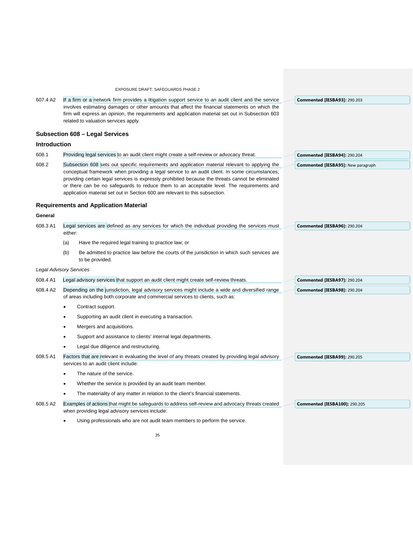| 607.4 A2            | EXPOSURE DRAFT: SAFEGUARDS PHASE 2<br>If a firm or a network firm provides a litigation support service to an audit client and the service<br>involves estimating damages or other amounts that affect the financial statements on which the<br>firm will express an opinion, the requirements and application material set out in Subsection 603<br>related to valuation services apply.                                                                                           | <b>Commented [IESBA93]: 290.203</b>       |
|---------------------|-------------------------------------------------------------------------------------------------------------------------------------------------------------------------------------------------------------------------------------------------------------------------------------------------------------------------------------------------------------------------------------------------------------------------------------------------------------------------------------|-------------------------------------------|
|                     | Subsection 608 - Legal Services                                                                                                                                                                                                                                                                                                                                                                                                                                                     |                                           |
| <b>Introduction</b> |                                                                                                                                                                                                                                                                                                                                                                                                                                                                                     |                                           |
| 608.1               | Providing legal services to an audit client might create a self-review or advocacy threat.                                                                                                                                                                                                                                                                                                                                                                                          | Commented [IESBA94]: 290.204              |
| 608.2               | Subsection 608 sets out specific requirements and application material relevant to applying the<br>conceptual framework when providing a legal service to an audit client. In some circumstances,<br>providing certain legal services is expressly prohibited because the threats cannot be eliminated<br>or there can be no safeguards to reduce them to an acceptable level. The requirements and<br>application material set out in Section 600 are relevant to this subsection. | <b>Commented [IESBA95]: New paragraph</b> |
|                     | <b>Requirements and Application Material</b>                                                                                                                                                                                                                                                                                                                                                                                                                                        |                                           |
| General             |                                                                                                                                                                                                                                                                                                                                                                                                                                                                                     |                                           |
| 608.3 A1            | Legal services are defined as any services for which the individual providing the services must<br>either:                                                                                                                                                                                                                                                                                                                                                                          | Commented [IESBA96]: 290.204              |
|                     | (a)<br>Have the required legal training to practice law; or                                                                                                                                                                                                                                                                                                                                                                                                                         |                                           |
|                     | (b)<br>Be admitted to practice law before the courts of the jurisdiction in which such services are<br>to be provided.                                                                                                                                                                                                                                                                                                                                                              |                                           |
|                     | <b>Legal Advisory Services</b>                                                                                                                                                                                                                                                                                                                                                                                                                                                      |                                           |
| 608.4 A1            | Legal advisory services that support an audit client might create self-review threats.                                                                                                                                                                                                                                                                                                                                                                                              | <b>Commented [IESBA97]: 290.204</b>       |
| 608.4 A2            | Depending on the jurisdiction, legal advisory services might include a wide and diversified range<br>of areas including both corporate and commercial services to clients, such as:                                                                                                                                                                                                                                                                                                 | Commented [IESBA98]: 290.204              |
|                     | Contract support.                                                                                                                                                                                                                                                                                                                                                                                                                                                                   |                                           |
|                     | Supporting an audit client in executing a transaction.                                                                                                                                                                                                                                                                                                                                                                                                                              |                                           |
|                     | Mergers and acquisitions.                                                                                                                                                                                                                                                                                                                                                                                                                                                           |                                           |
|                     | Support and assistance to clients' internal legal departments.                                                                                                                                                                                                                                                                                                                                                                                                                      |                                           |
|                     | Legal due diligence and restructuring.                                                                                                                                                                                                                                                                                                                                                                                                                                              |                                           |
| 608.5 A1            | Factors that are relevant in evaluating the level of any threats created by providing legal advisory<br>services to an audit client include:                                                                                                                                                                                                                                                                                                                                        | <b>Commented [IESBA99]: 290.205</b>       |
|                     | The nature of the service.                                                                                                                                                                                                                                                                                                                                                                                                                                                          |                                           |
|                     | Whether the service is provided by an audit team member.                                                                                                                                                                                                                                                                                                                                                                                                                            |                                           |
|                     | The materiality of any matter in relation to the client's financial statements.                                                                                                                                                                                                                                                                                                                                                                                                     |                                           |
| 608.5 A2            | Examples of actions that might be safeguards to address self-review and advocacy threats created<br>when providing legal advisory services include:                                                                                                                                                                                                                                                                                                                                 | <b>Commented [IESBA100]: 290.205</b>      |
|                     | Using professionals who are not audit team members to perform the service.                                                                                                                                                                                                                                                                                                                                                                                                          |                                           |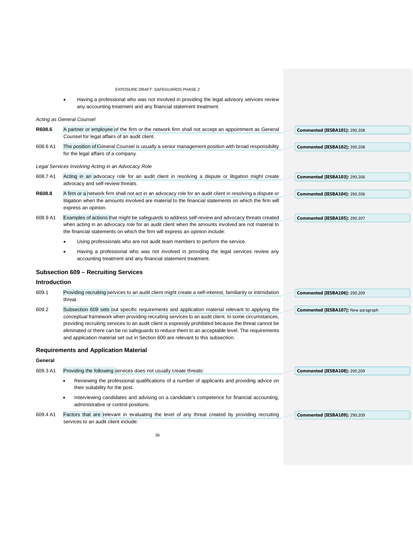EXPOSURE DRAFT: SAFEGUARDS PHASE 2 • Having a professional who was not involved in providing the legal advisory services review any accounting treatment and any financial statement treatment. *Acting as General Counsel* **R608.6** A partner or employee of the firm or the network firm shall not accept an appointment as General Counsel for legal affairs of an audit client. 608.6 A1 The position of General Counsel is usually a senior management position with broad responsibility for the legal affairs of a company. *Legal Services Involving Acting in an Advocacy Role* 608.7 A1 Acting in an advocacy role for an audit client in resolving a dispute or litigation might create advocacy and self-review threats. **R608.8** A firm or a network firm shall not act in an advocacy role for an audit client in resolving a dispute or litigation when the amounts involved are material to the financial statements on which the firm will express an opinion. 608.9 A1 Examples of actions that might be safeguards to address self-review and advocacy threats created when acting in an advocacy role for an audit client when the amounts involved are not material to the financial statements on which the firm will express an opinion include: Using professionals who are not audit team members to perform the service. Having a professional who was not involved in providing the legal services review any accounting treatment and any financial statement treatment. **Subsection 609 – Recruiting Services Introduction** 609.1 Providing recruiting services to an audit client might create a self-interest, familiarity or intimidation threat. 609.2 Subsection 609 sets out specific requirements and application material relevant to applying the conceptual framework when providing recruiting services to an audit client. In some circumstances, providing recruiting services to an audit client is expressly prohibited because the threat cannot be eliminated or there can be no safeguards to reduce them to an acceptable level. The requirements and application material set out in Section 600 are relevant to this subsection. **Requirements and Application Material General**  609.3 A1 Providing the following services does not usually create threats: • Reviewing the professional qualifications of a number of applicants and providing advice on their suitability for the post. • Interviewing candidates and advising on a candidate's competence for financial accounting, administrative or control positions. 609.4 A1 Factors that are relevant in evaluating the level of any threat created by providing recruiting services to an audit client include: **Commented [IESBA101]:** 290.208 **Commented [IESBA102]:** 290.208 **Commented [IESBA103]:** 290.206 **Commented [IESBA104]:** 290.206 **Commented [IESBA105]:** 290.207 **Commented [IESBA106]:** 290.209 **Commented [IESBA107]:** New paragraph **Commented [IESBA108]:** 290.209 **Commented [IESBA109]:** 290.209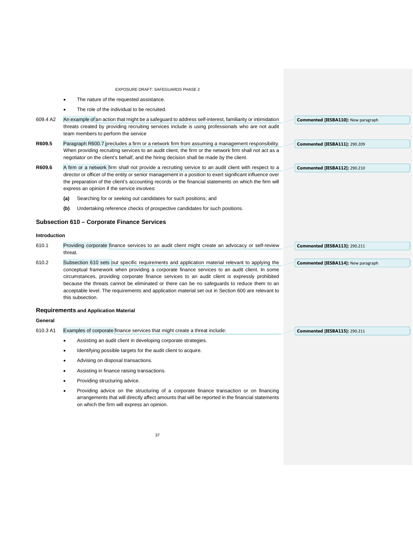|                     | EXPOSURE DRAFT: SAFEGUARDS PHASE 2                                                                                                                                                                                                                                                                                                                                                                                                                                                                                         |                                      |  |
|---------------------|----------------------------------------------------------------------------------------------------------------------------------------------------------------------------------------------------------------------------------------------------------------------------------------------------------------------------------------------------------------------------------------------------------------------------------------------------------------------------------------------------------------------------|--------------------------------------|--|
|                     | The nature of the requested assistance.                                                                                                                                                                                                                                                                                                                                                                                                                                                                                    |                                      |  |
|                     | The role of the individual to be recruited.                                                                                                                                                                                                                                                                                                                                                                                                                                                                                |                                      |  |
| 609.4 A2            | An example of an action that might be a safeguard to address self-interest, familiarity or intimidation<br>threats created by providing recruiting services include is using professionals who are not audit<br>team members to perform the service                                                                                                                                                                                                                                                                        | Commented [IESBA110]: New paragraph  |  |
| R609.5              | Paragraph R600.7 precludes a firm or a network firm from assuming a management responsibility.<br>When providing recruiting services to an audit client, the firm or the network firm shall not act as a<br>negotiator on the client's behalf, and the hiring decision shall be made by the client.                                                                                                                                                                                                                        | <b>Commented [IESBA111]: 290.209</b> |  |
| R609.6              | A firm or a network firm shall not provide a recruiting service to an audit client with respect to a<br>director or officer of the entity or senior management in a position to exert significant influence over<br>the preparation of the client's accounting records or the financial statements on which the firm will<br>express an opinion if the service involves:                                                                                                                                                   | <b>Commented [IESBA112]: 290.210</b> |  |
|                     | Searching for or seeking out candidates for such positions; and<br>(a)                                                                                                                                                                                                                                                                                                                                                                                                                                                     |                                      |  |
|                     | Undertaking reference checks of prospective candidates for such positions.<br>(b)                                                                                                                                                                                                                                                                                                                                                                                                                                          |                                      |  |
|                     | <b>Subsection 610 - Corporate Finance Services</b>                                                                                                                                                                                                                                                                                                                                                                                                                                                                         |                                      |  |
| <b>Introduction</b> |                                                                                                                                                                                                                                                                                                                                                                                                                                                                                                                            |                                      |  |
| 610.1               | Providing corporate finance services to an audit client might create an advocacy or self-review<br>threat.                                                                                                                                                                                                                                                                                                                                                                                                                 | <b>Commented [IESBA113]: 290.211</b> |  |
| 610.2               | Subsection 610 sets out specific requirements and application material relevant to applying the<br>conceptual framework when providing a corporate finance services to an audit client. In some<br>circumstances, providing corporate finance services to an audit client is expressly prohibited<br>because the threats cannot be eliminated or there can be no safeguards to reduce them to an<br>acceptable level. The requirements and application material set out in Section 600 are relevant to<br>this subsection. | Commented [IESBA114]: New paragraph  |  |
|                     | <b>Requirements and Application Material</b>                                                                                                                                                                                                                                                                                                                                                                                                                                                                               |                                      |  |
| General             |                                                                                                                                                                                                                                                                                                                                                                                                                                                                                                                            |                                      |  |
| 610.3 A1            | Examples of corporate finance services that might create a threat include:                                                                                                                                                                                                                                                                                                                                                                                                                                                 | <b>Commented [IESBA115]: 290.211</b> |  |
|                     | Assisting an audit client in developing corporate strategies.                                                                                                                                                                                                                                                                                                                                                                                                                                                              |                                      |  |
|                     | Identifying possible targets for the audit client to acquire.                                                                                                                                                                                                                                                                                                                                                                                                                                                              |                                      |  |
|                     | Advising on disposal transactions.                                                                                                                                                                                                                                                                                                                                                                                                                                                                                         |                                      |  |
|                     | Assisting in finance raising transactions.                                                                                                                                                                                                                                                                                                                                                                                                                                                                                 |                                      |  |
|                     | Providing structuring advice.                                                                                                                                                                                                                                                                                                                                                                                                                                                                                              |                                      |  |
|                     | Providing advice on the structuring of a corporate finance transaction or on financing<br>arrangements that will directly affect amounts that will be reported in the financial statements<br>on which the firm will express an opinion.                                                                                                                                                                                                                                                                                   |                                      |  |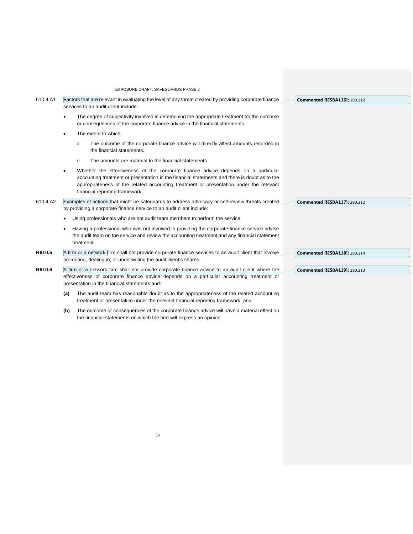|          | EXPOSURE DRAFT: SAFEGUARDS PHASE 2                                                                                                                                                                                                                                                                                          |
|----------|-----------------------------------------------------------------------------------------------------------------------------------------------------------------------------------------------------------------------------------------------------------------------------------------------------------------------------|
| 610.4 A1 | Factors that are relevant in evaluating the level of any threat created by providing corporate finance<br><b>Commented [IESBA116]: 290.212</b><br>services to an audit client include:                                                                                                                                      |
|          | The degree of subjectivity involved in determining the appropriate treatment for the outcome<br>$\bullet$<br>or consequences of the corporate finance advice in the financial statements.                                                                                                                                   |
|          | The extent to which:<br>$\bullet$                                                                                                                                                                                                                                                                                           |
|          | The outcome of the corporate finance advice will directly affect amounts recorded in<br>$\circ$<br>the financial statements.                                                                                                                                                                                                |
|          | The amounts are material to the financial statements.<br>$\circ$                                                                                                                                                                                                                                                            |
|          | Whether the effectiveness of the corporate finance advice depends on a particular<br>$\bullet$<br>accounting treatment or presentation in the financial statements and there is doubt as to the<br>appropriateness of the related accounting treatment or presentation under the relevant<br>financial reporting framework. |
| 610.4 A2 | Examples of actions that might be safeguards to address advocacy or self-review threats created<br><b>Commented [IESBA117]: 290.212</b><br>by providing a corporate finance service to an audit client include:                                                                                                             |
|          | Using professionals who are not audit team members to perform the service.                                                                                                                                                                                                                                                  |
|          | Having a professional who was not involved in providing the corporate finance service advise<br>$\bullet$<br>the audit team on the service and review the accounting treatment and any financial statement<br>treatment.                                                                                                    |
| R610.5   | A firm or a network firm shall not provide corporate finance services to an audit client that involve<br>Commented [IESBA118]: 290.214                                                                                                                                                                                      |
|          | promoting, dealing in, or underwriting the audit client's shares.                                                                                                                                                                                                                                                           |
| R610.6   | A firm or a network firm shall not provide corporate finance advice to an audit client where the<br><b>Commented [IESBA119]: 290.213</b><br>effectiveness of corporate finance advice depends on a particular accounting treatment or<br>presentation in the financial statements and:                                      |
|          | The audit team has reasonable doubt as to the appropriateness of the related accounting<br>(a)<br>treatment or presentation under the relevant financial reporting framework; and                                                                                                                                           |

**(b)** The outcome or consequences of the corporate finance advice will have a material effect on the financial statements on which the firm will express an opinion.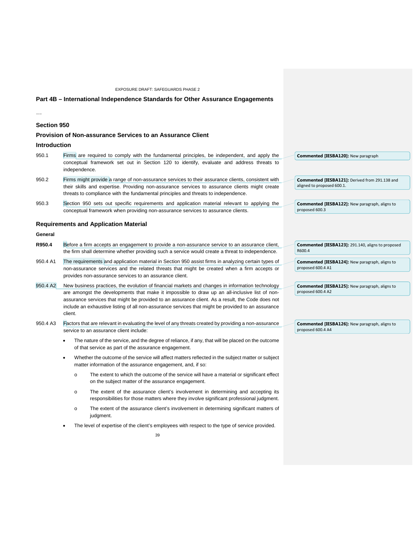### **Part 4B – International Independence Standards for Other Assurance Engagements**

…

### **Section 950**

### **Provision of Non-assurance Services to an Assurance Client**

### **Introduction**

- 950.1 Firms are required to comply with the fundamental principles, be independent, and apply the conceptual framework set out in Section 120 to identify, evaluate and address threats to independence. **Commented [IESBA120]:** New paragraph
- 950.2 Firms might provide a range of non-assurance services to their assurance clients, consistent with their skills and expertise. Providing non-assurance services to assurance clients might create threats to compliance with the fundamental principles and threats to independence.
- 950.3 Section 950 sets out specific requirements and application material relevant to applying the conceptual framework when providing non-assurance services to assurance clients.

### **Requirements and Application Material**

### **General**

- **R950.4** Before a firm accepts an engagement to provide a non-assurance service to an assurance client, the firm shall determine whether providing such a service would create a threat to independence.
- 950.4 A1 The requirements and application material in Section 950 assist firms in analyzing certain types of non-assurance services and the related threats that might be created when a firm accepts or provides non-assurance services to an assurance client.
- 950.4 A2 New business practices, the evolution of financial markets and changes in information technology are amongst the developments that make it impossible to draw up an all-inclusive list of nonassurance services that might be provided to an assurance client. As a result, the Code does not include an exhaustive listing of all non-assurance services that might be provided to an assurance client.
- 950.4 A3 Factors that are relevant in evaluating the level of any threats created by providing a non-assurance service to an assurance client include:
	- The nature of the service, and the degree of reliance, if any, that will be placed on the outcome of that service as part of the assurance engagement.
	- Whether the outcome of the service will affect matters reflected in the subject matter or subject matter information of the assurance engagement, and, if so:
		- o The extent to which the outcome of the service will have a material or significant effect on the subject matter of the assurance engagement.
		- o The extent of the assurance client's involvement in determining and accepting its responsibilities for those matters where they involve significant professional judgment.
		- o The extent of the assurance client's involvement in determining significant matters of judgment.
	- The level of expertise of the client's employees with respect to the type of service provided.

| <b>Commented [IESBA121]:</b> Derived from 291.138 and |  |
|-------------------------------------------------------|--|
| aligned to proposed 600.1.                            |  |
|                                                       |  |

**Commented [IESBA122]:** New paragraph, aligns to proposed 600.3

| <b>Commented [IESBA123]: 291.140, aligns to proposed</b> |  |
|----------------------------------------------------------|--|
| R600.4                                                   |  |
|                                                          |  |

 $R$ 

| <b>Commented [IESBA124]:</b> New paragraph, aligns to |  |
|-------------------------------------------------------|--|
| proposed 600.4 A1                                     |  |

**Commented [IESBA125]:** New paragraph, aligns to proposed 600.4 A2

**Commented [IESBA126]:** New paragraph, aligns to proposed 600.4 A4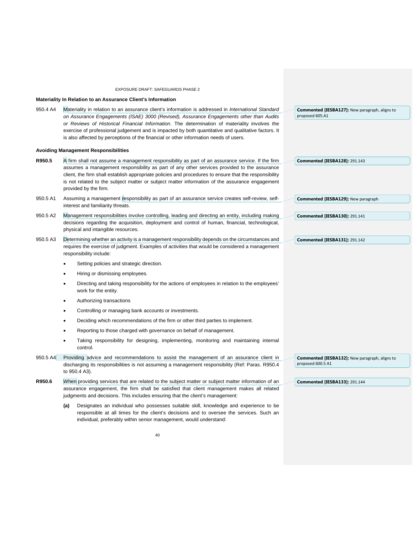#### **Materiality In Relation to an Assurance Client's Information**

| 950.4 A4 | Materiality in relation to an assurance client's information is addressed in International Standard | <b>Commented [IESBA127]:</b> New paragraph, aligns to |
|----------|-----------------------------------------------------------------------------------------------------|-------------------------------------------------------|
|          | on Assurance Engagements (ISAE) 3000 (Revised), Assurance Engagements other than Audits             | proposed 605.A1                                       |
|          | or Reviews of Historical Financial Information. The determination of materiality involves the       |                                                       |
|          | exercise of professional judgement and is impacted by both quantitative and qualitative factors. It |                                                       |
|          | is also affected by perceptions of the financial or other information needs of users.               |                                                       |
|          |                                                                                                     |                                                       |

#### **Avoiding Management Responsibilities**

| R950.5 | $\overline{A}$ firm shall not assume a management responsibility as part of an assurance service. If the firm |  |
|--------|---------------------------------------------------------------------------------------------------------------|--|
|        | assumes a management responsibility as part of any other services provided to the assurance                   |  |
|        | client, the firm shall establish appropriate policies and procedures to ensure that the responsibility        |  |
|        | is not related to the subject matter or subject matter information of the assurance engagement                |  |
|        | provided by the firm.                                                                                         |  |

- 950.5 A1 Assuming a management responsibility as part of an assurance service creates self-review, selfinterest and familiarity threats.
- 950.5 A2 Management responsibilities involve controlling, leading and directing an entity, including making decisions regarding the acquisition, deployment and control of human, financial, technological, physical and intangible resources.
- 950.5 A3 Determining whether an activity is a management responsibility depends on the circumstances and requires the exercise of judgment. Examples of activities that would be considered a management responsibility include:
	- Setting policies and strategic direction.
	- Hiring or dismissing employees.
	- Directing and taking responsibility for the actions of employees in relation to the employees' work for the entity.
	- Authorizing transactions
	- Controlling or managing bank accounts or investments.
	- Deciding which recommendations of the firm or other third parties to implement.
	- Reporting to those charged with governance on behalf of management.
	- Taking responsibility for designing, implementing, monitoring and maintaining internal control.
- 950.5 A4 Providing advice and recommendations to assist the management of an assurance client in discharging its responsibilities is not assuming a management responsibility (Ref: Paras. R950.4 to 950.4 A3).
- R950.6 When providing services that are related to the subject matter or subject matter information of an assurance engagement, the firm shall be satisfied that client management makes all related judgments and decisions. This includes ensuring that the client's management:
	- **(a)** Designates an individual who possesses suitable skill, knowledge and experience to be responsible at all times for the client's decisions and to oversee the services. Such an individual, preferably within senior management, would understand:

| <b>Commented [IESBA132]:</b> New paragraph, aligns to |  |
|-------------------------------------------------------|--|
| proposed 600.5 A1                                     |  |

| <b>Commented [IESBA133]: 291.144</b> |  |  |
|--------------------------------------|--|--|
|--------------------------------------|--|--|

**Commented [IESBA128]:** 291.143

**Commented [IESBA129]:** New paragraph

**Commented [IESBA130]:** 291.141

**Commented [IESBA131]:** 291.142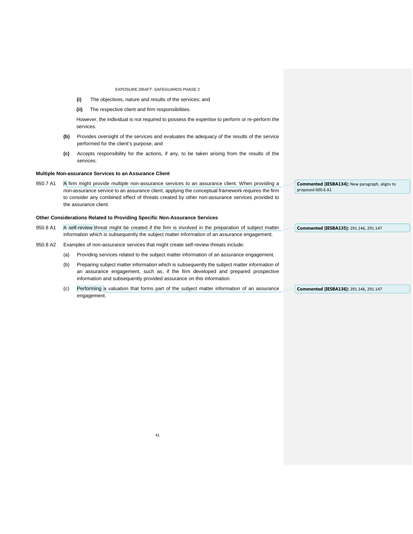- **(i)** The objectives, nature and results of the services; and
- **(ii)** The respective client and firm responsibilities.

However, the individual is not required to possess the expertise to perform or re-perform the services.

- **(b)** Provides oversight of the services and evaluates the adequacy of the results of the service performed for the client's purpose; and
- **(c)** Accepts responsibility for the actions, if any, to be taken arising from the results of the services.

### **Multiple Non-assurance Services to an Assurance Client**

950.7 A1 A firm might provide multiple non-assurance services to an assurance client. When providing a non-assurance service to an assurance client, applying the conceptual framework requires the firm to consider any combined effect of threats created by other non-assurance services provided to the assurance client.

#### **Other Considerations Related to Providing Specific Non-Assurance Services**

- 950.8 A1 A self-review threat might be created if the firm is involved in the preparation of subject matter information which is subsequently the subject matter information of an assurance engagement. **Commented [IESBA135]:** 291.146, 291.147
- 950.8 A2 Examples of non-assurance services that might create self-review threats include:
	- (a) Providing services related to the subject matter information of an assurance engagement.
	- (b) Preparing subject matter information which is subsequently the subject matter information of an assurance engagement, such as, if the firm developed and prepared prospective information and subsequently provided assurance on this information.
	- (c) Performing a valuation that forms part of the subject matter information of an assurance engagement. **Commented [IESBA136]:** 291.146, 291.147

**Commented [IESBA134]:** New paragraph, aligns to proposed 600.6 A1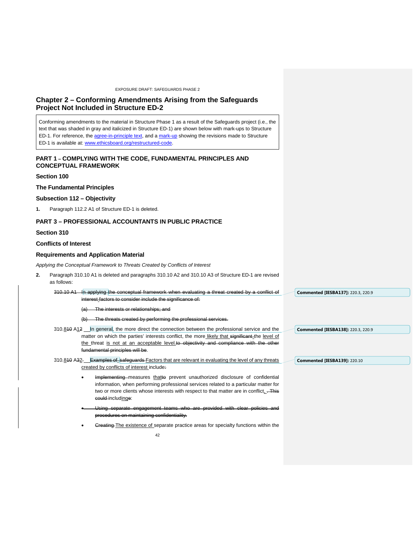# <span id="page-41-0"></span>**Chapter 2 – Conforming Amendments Arising from the Safeguards Project Not Included in Structure ED-2**

Conforming amendments to the material in Structure Phase 1 as a result of the Safeguards project (i.e., the text that was shaded in gray and italicized in Structure ED-1) are shown below with mark-ups to Structure ED-1. For reference, the [agree-in-principle text,](https://www.ifac.org/publications-resources/structure-safeguards-revisions-agreed-principle) and a [mark-up](https://www.ifac.org/publications-resources/structure-safeguards-revisions-agreed-principle) showing the revisions made to Structure ED-1 is available at: [www.ethicsboard.org/restructured-code.](http://www.ethicsboard.org/restructured-code)

### **PART 1 – COMPLYING WITH THE CODE, FUNDAMENTAL PRINCIPLES AND CONCEPTUAL FRAMEWORK**

### **Section 100**

### **The Fundamental Principles**

### **Subsection 112 – Objectivity**

**1.** Paragraph 112.2 A1 of Structure ED-1 is deleted.

# **PART 3 – PROFESSIONAL ACCOUNTANTS IN PUBLIC PRACTICE**

### **Section 310**

# **Conflicts of Interest**

### **Requirements and Application Material**

*Applying the Conceptual Framework to Threats Created by Conflicts of Interest*

could includinge:

- **2.** Paragraph 310.10 A1 is deleted and paragraphs 310.10 A2 and 310.10 A3 of Structure ED-1 are revised as follows:
- 310.10 A1 In applying the conceptual framework when evaluating a threat created by a conflict of interest factors to consider include the significance of: (a) The interests or relationships; and (b) The threats created by performing the professional services. 310.810 A12 In general, the more direct the connection between the professional service and the matter on which the parties' interests conflict, the more likely that significant the level of the threat is not at an acceptable level.to objectivity and compliance with the other ental principles will be. 310.810 A32 Examples of safeguards Factors that are relevant in evaluating the level of any threats created by conflicts of interest include: Implementing measures thatte prevent unauthorized disclosure of confidential information, when performing professional services related to a particular matter for two or more clients whose interests with respect to that matter are in conflict. This **Commented [IESBA137]:** 220.3, 220.9 **Commented [IESBA138]:** 220.3, 220.9 **Commented [IESBA139]:** 220.10
	- <del>engagemen</del> ptiality.
	- Greating The existence of separate practice areas for specialty functions within the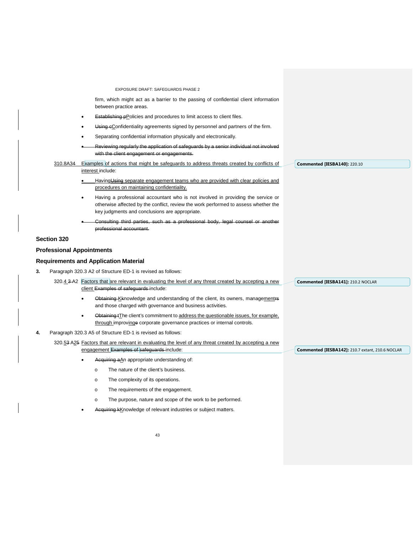|    |                                  | EXPOSURE DRAFT: SAFEGUARDS PHASE 2                                                                                                                                                                                        |                                                  |
|----|----------------------------------|---------------------------------------------------------------------------------------------------------------------------------------------------------------------------------------------------------------------------|--------------------------------------------------|
|    |                                  | firm, which might act as a barrier to the passing of confidential client information<br>between practice areas.                                                                                                           |                                                  |
|    | $\bullet$                        | Establishing pPolicies and procedures to limit access to client files.                                                                                                                                                    |                                                  |
|    | $\bullet$                        | Using eConfidentiality agreements signed by personnel and partners of the firm.                                                                                                                                           |                                                  |
|    |                                  | Separating confidential information physically and electronically.                                                                                                                                                        |                                                  |
|    |                                  | Reviewing regularly the application of safeguards by a senior individual not involved<br>with the client engagement or engagements.                                                                                       |                                                  |
|    | 310.8A34                         | Examples of actions that might be safeguards to address threats created by conflicts of                                                                                                                                   | <b>Commented [IESBA140]: 220.10</b>              |
|    |                                  | interest include:                                                                                                                                                                                                         |                                                  |
|    |                                  | Having Using separate engagement teams who are provided with clear policies and<br>procedures on maintaining confidentiality.                                                                                             |                                                  |
|    | $\bullet$                        | Having a professional accountant who is not involved in providing the service or<br>otherwise affected by the conflict, review the work performed to assess whether the<br>key judgments and conclusions are appropriate. |                                                  |
|    |                                  | Consulting third parties, such as a professional body, legal counsel or another<br>professional accountant.                                                                                                               |                                                  |
|    | Section 320                      |                                                                                                                                                                                                                           |                                                  |
|    | <b>Professional Appointments</b> |                                                                                                                                                                                                                           |                                                  |
|    |                                  | <b>Requirements and Application Material</b>                                                                                                                                                                              |                                                  |
| 3. |                                  | Paragraph 320.3 A2 of Structure ED-1 is revised as follows:                                                                                                                                                               |                                                  |
|    |                                  | 320.4 3-A2 Factors that are relevant in evaluating the level of any threat created by accepting a new<br>client Examples of safeguards-include:                                                                           | Commented [IESBA141]: 210.2 NOCLAR               |
|    | $\bullet$                        | Obtaining Kknowledge and understanding of the client, its owners, managementrs<br>and those charged with governance and business activities.                                                                              |                                                  |
|    | $\bullet$                        | Obtaining t <sub>T</sub> he client's commitment to address the questionable issues, for example,<br>through improvinge corporate governance practices or internal controls.                                               |                                                  |
| 4. |                                  | Paragraph 320.3 A5 of Structure ED-1 is revised as follows:                                                                                                                                                               |                                                  |
|    |                                  | 320.53 A25 Factors that are relevant in evaluating the level of any threat created by accepting a new<br>engagement Examples of safeguards include:                                                                       | Commented [IESBA142]: 210.7 extant, 210.6 NOCLAR |
|    |                                  | Acquiring aAn appropriate understanding of:                                                                                                                                                                               |                                                  |
|    |                                  | The nature of the client's business.<br>$\circ$                                                                                                                                                                           |                                                  |
|    |                                  | The complexity of its operations.<br>$\circ$                                                                                                                                                                              |                                                  |
|    |                                  | The requirements of the engagement.<br>O                                                                                                                                                                                  |                                                  |

- o The purpose, nature and scope of the work to be performed.
- Acquiring kKnowledge of relevant industries or subject matters.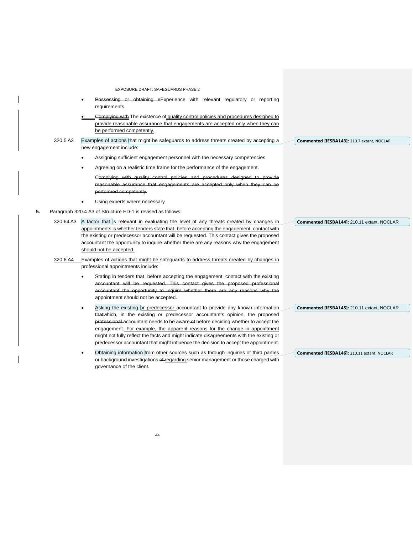- Possessing or obtaining eExperience with relevant regulatory or reporting requirements.
- Complying with The existence of quality control policies and procedures designed to provide reasonable assurance that engagements are accepted only when they can be performed competently.
- 320.5 A3 Examples of actions that might be safeguards to address threats created by accepting a new engagement include: **Commented [IESBA143]:** 210.7 extant, NOCLAR
	- Assigning sufficient engagement personnel with the necessary competencies.
	- Agreeing on a realistic time frame for the performance of the engagement.
		- ntrol policies and proce reasonable assurance that engagements are accepted only when they can be performed competently.
	- Using experts where necessary.
- **5.** Paragraph 320.4 A3 of Structure ED-1 is revised as follows:
	- 320.64 A3 A factor that is relevant in evaluating the level of any threats created by changes in appointments is whether tenders state that, before accepting the engagement, contact with the existing or predecessor accountant will be requested. This contact gives the proposed accountant the opportunity to inquire whether there are any reasons why the engagement should not be accepted.
	- 320.6 A4 Examples of actions that might be safeguards to address threats created by changes in professional appointments include:
		- Stating in tenders that, before accepting the engagement, contact with the existing accountant will be requested. This contact gives the proposed professional accountant the opportunity to inquire whether there are any reasons why the appointment should not be accepted.
		- Asking the existing or predecessor accountant to provide any known information thatwhich, in the existing or predecessor accountant's opinion, the proposed professional accountant needs to be aware of before deciding whether to accept the engagement. For example, the apparent reasons for the change in appointment might not fully reflect the facts and might indicate disagreements with the existing or predecessor accountant that might influence the decision to accept the appointment.
		- Obtaining information from other sources such as through inquiries of third parties or background investigations of regarding senior management or those charged with governance of the client.

**Commented [IESBA144]:** 210.11 extant, NOCLAR

**Commented [IESBA145]:** 210.11 extant, NOCLAR

**Commented [IESBA146]:** 210.11 extant, NOCLAR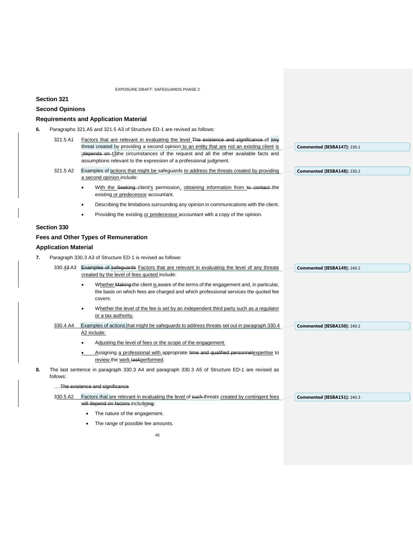# **Section 321**

# **Second Opinions**

# **Requirements and Application Material**

**6.** Paragraphs 321.A5 and 321.5 A3 of Structure ED-1 are revised as follows:

|    | 321.5 A1                    | Factors that are relevant in evaluating the level The existence and significance of any                                                                                                |                             |
|----|-----------------------------|----------------------------------------------------------------------------------------------------------------------------------------------------------------------------------------|-----------------------------|
|    |                             | threat created by providing a second opinion to an entity that are not an existing client is                                                                                           | Commented [IESBA147]: 230.1 |
|    |                             | :depends on tTthe circumstances of the request and all the other available facts and<br>assumptions relevant to the expression of a professional judgment.                             |                             |
|    | 321.5 A2                    | Examples of actions that might be safeguards to address the threats created by providing                                                                                               |                             |
|    |                             | a second opinion include:                                                                                                                                                              | Commented [IESBA148]: 230.2 |
|    |                             | With the Seeking-client's permission, obtaining information from to contact-the<br>$\bullet$<br>existing or predecessor accountant.                                                    |                             |
|    |                             | Describing the limitations surrounding any opinion in communications with the client.<br>$\bullet$                                                                                     |                             |
|    |                             | Providing the existing or predecessor accountant with a copy of the opinion.<br>$\bullet$                                                                                              |                             |
|    | Section 330                 |                                                                                                                                                                                        |                             |
|    |                             | <b>Fees and Other Types of Remuneration</b>                                                                                                                                            |                             |
|    | <b>Application Material</b> |                                                                                                                                                                                        |                             |
| 7. |                             | Paragraph 330.3 A3 of Structure ED-1 is revised as follows:                                                                                                                            |                             |
|    |                             | 330.43 A3 Examples of safeguards Factors that are relevant in evaluating the level of any threats                                                                                      | Commented [IESBA149]: 240.2 |
|    |                             | created by the level of fees quoted include:                                                                                                                                           |                             |
|    |                             | Whether Making the client is aware of the terms of the engagement and, in particular,<br>the basis on which fees are charged and which professional services the quoted fee<br>covers. |                             |
|    |                             | Whether the level of the fee is set by an independent third party such as a regulator<br>$\bullet$<br>or a tax authority.                                                              |                             |
|    | 330.4 A4                    | Examples of actions that might be safeguards to address threats set out in paragraph 330.4<br>A2 include:                                                                              | Commented [IESBA150]: 240.2 |
|    |                             | Adjusting the level of fees or the scope of the engagement.                                                                                                                            |                             |
|    |                             | Assigning a professional with appropriate time and qualified personnelexpertise to<br>review the work taskperformed.                                                                   |                             |
| 8. | follows:                    | The last sentence in paragraph 330.3 A4 and paragraph 330.3 A5 of Structure ED-1 are revised as                                                                                        |                             |
|    |                             | The existence and significance                                                                                                                                                         |                             |
|    | 330.5 A2                    | Factors that are relevant in evaluating the level of such threats created by contingent fees                                                                                           | Commented [IESBA151]: 240.3 |
|    |                             | will depend on factors includeing:                                                                                                                                                     |                             |
|    |                             | The nature of the engagement.                                                                                                                                                          |                             |

• The range of possible fee amounts.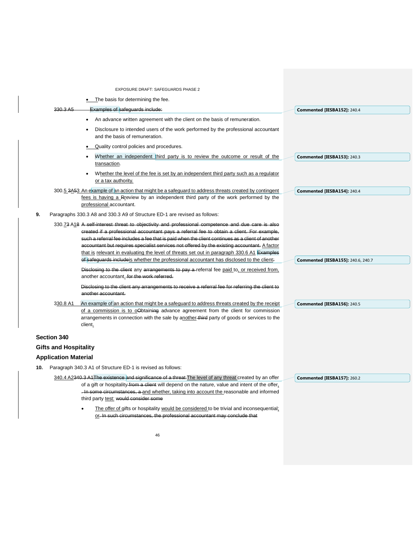|     |                              | EXPOSURE DRAFT: SAFEGUARDS PHASE 2                                                                                                                                                                                                                                                                                                                                                                                                                                                               |                                           |
|-----|------------------------------|--------------------------------------------------------------------------------------------------------------------------------------------------------------------------------------------------------------------------------------------------------------------------------------------------------------------------------------------------------------------------------------------------------------------------------------------------------------------------------------------------|-------------------------------------------|
|     |                              | The basis for determining the fee.                                                                                                                                                                                                                                                                                                                                                                                                                                                               |                                           |
|     | 330.3 A <sub>5</sub>         | <b>Examples of safeguards include:</b>                                                                                                                                                                                                                                                                                                                                                                                                                                                           | Commented [IESBA152]: 240.4               |
|     |                              | An advance written agreement with the client on the basis of remuneration.                                                                                                                                                                                                                                                                                                                                                                                                                       |                                           |
|     |                              | Disclosure to intended users of the work performed by the professional accountant<br>and the basis of remuneration.                                                                                                                                                                                                                                                                                                                                                                              |                                           |
|     |                              | Quality control policies and procedures.                                                                                                                                                                                                                                                                                                                                                                                                                                                         |                                           |
|     |                              | Whether an independent third party is to review the outcome or result of the<br>transaction.                                                                                                                                                                                                                                                                                                                                                                                                     | Commented [IESBA153]: 240.3               |
|     |                              | Whether the level of the fee is set by an independent third party such as a regulator<br>or a tax authority.                                                                                                                                                                                                                                                                                                                                                                                     |                                           |
|     |                              | 300.5 3A53 An example of an action that might be a safeguard to address threats created by contingent<br>fees is having a Rreview by an independent third party of the work performed by the<br>professional accountant.                                                                                                                                                                                                                                                                         | Commented [IESBA154]: 240.4               |
| 9.  |                              | Paragraphs 330.3 A8 and 330.3 A9 of Structure ED-1 are revised as follows:                                                                                                                                                                                                                                                                                                                                                                                                                       |                                           |
|     |                              | 330.73 A18 A self-interest threat to objectivity and professional competence and due care is also<br>created if a professional accountant pays a referral fee to obtain a client. For example,<br>such a referral fee includes a fee that is paid when the client continues as a client of another<br>accountant but requires specialist services not offered by the existing accountant. A factor<br>that is relevant in evaluating the level of threats set out in paragraph 330.6 A1 Examples |                                           |
|     |                              | of safeguards include is whether the professional accountant has disclosed to the client:                                                                                                                                                                                                                                                                                                                                                                                                        | <b>Commented [IESBA155]: 240.6, 240.7</b> |
|     |                              | Disclosing to the client any arrangements to pay a referral fee paid to, or received from.<br>another accountant. for the work referred.                                                                                                                                                                                                                                                                                                                                                         |                                           |
|     |                              | Disclosing to the client any arrangements to receive a referral fee for referring the client to<br>another accountant.                                                                                                                                                                                                                                                                                                                                                                           |                                           |
|     | 330.8 A1                     | An example of an action that might be a safeguard to address threats created by the receipt<br>of a commission is to orthoining advance agreement from the client for commission<br>arrangements in connection with the sale by another-third party of goods or services to the<br>client.                                                                                                                                                                                                       | Commented [IESBA156]: 240.5               |
|     | <b>Section 340</b>           |                                                                                                                                                                                                                                                                                                                                                                                                                                                                                                  |                                           |
|     | <b>Gifts and Hospitality</b> |                                                                                                                                                                                                                                                                                                                                                                                                                                                                                                  |                                           |
|     | <b>Application Material</b>  |                                                                                                                                                                                                                                                                                                                                                                                                                                                                                                  |                                           |
| 10. |                              | Paragraph 340.3 A1 of Structure ED-1 is revised as follows:                                                                                                                                                                                                                                                                                                                                                                                                                                      |                                           |
|     |                              | 340.4 A2340.3 A1The existence and significance of a threat The level of any threat created by an offer<br>of a gift or hospitality-from a client will depend on the nature, value and intent of the offer,<br>- In some circumstances, a and whether, taking into account the reasonable and informed<br>third party test: would consider some<br>The offer of gifts or hospitality would be considered to be trivial and inconsequential:                                                       | Commented [IESBA157]: 260.2               |
|     |                              | or. In such circumstances, the professional accountant may conclude that                                                                                                                                                                                                                                                                                                                                                                                                                         |                                           |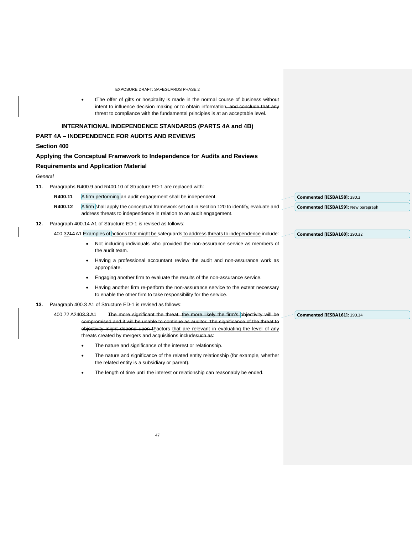tThe offer of gifts or hospitality is made in the normal course of business without intent to influence decision making or to obtain information, and conclude that any threat to compliance with the fundamental principles is at an acceptable level.

# **INTERNATIONAL INDEPENDENCE STANDARDS (PARTS 4A and 4B)**

# **PART 4A – INDEPENDENCE FOR AUDITS AND REVIEWS**

## **Section 400**

### **Applying the Conceptual Framework to Independence for Audits and Reviews**

# **Requirements and Application Material**

### *General*

**11.** Paragraphs R400.9 and R400.10 of Structure ED-1 are replaced with:

|     | R400.11 | A firm performing an audit engagement shall be independent.                                                                                          | Commented [IESBA158]: 280.2                |
|-----|---------|------------------------------------------------------------------------------------------------------------------------------------------------------|--------------------------------------------|
|     | R400.12 | A firm shall apply the conceptual framework set out in Section 120 to identify, evaluate and                                                         | <b>Commented [IESBA159]: New paragraph</b> |
|     |         | address threats to independence in relation to an audit engagement.                                                                                  |                                            |
| 12. |         | Paragraph 400.14 A1 of Structure ED-1 is revised as follows:                                                                                         |                                            |
|     |         | 400.3244 A1 Examples of actions that might be safeguards to address threats to independence include:                                                 | Commented [IESBA160]: 290.32               |
|     |         | Not including individuals who provided the non-assurance service as members of<br>the audit team.                                                    |                                            |
|     |         | Having a professional accountant review the audit and non-assurance work as<br>appropriate.                                                          |                                            |
|     |         | Engaging another firm to evaluate the results of the non-assurance service.                                                                          |                                            |
|     |         | Having another firm re-perform the non-assurance service to the extent necessary<br>to enable the other firm to take responsibility for the service. |                                            |
|     |         |                                                                                                                                                      |                                            |

**13.** Paragraph 400.3 A1 of Structure ED-1 is revised as follows:

| 400.72 A2 <del>403.3 A1</del> | The more significant the threat, the more likely the firm's objectivity will be             |
|-------------------------------|---------------------------------------------------------------------------------------------|
|                               | compromised and it will be unable to continue as auditor. The significance of the threat to |
|                               | objectivity might depend upon fFactors that are relevant in evaluating the level of any     |
|                               | threats created by mergers and acquisitions includesuch as:                                 |

- The nature and significance of the interest or relationship.
- The nature and significance of the related entity relationship (for example, whether the related entity is a subsidiary or parent).
- The length of time until the interest or relationship can reasonably be ended.

**Commented [IESBA161]:** 290.34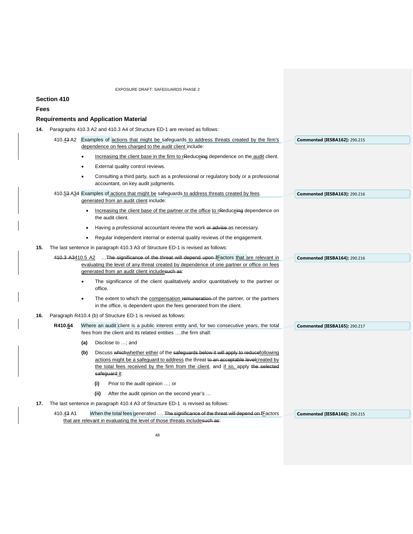# **Section 410**

### **Fees**

# **Requirements and Application Material**

**14.** Paragraphs 410.3 A2 and 410.3 A4 of Structure ED-1 are revised as follows:

|     | 410.43 A2 |                                                                                                                                                              | Examples of actions that might be safeguards to address threats created by the firm's                                                                                                                                                                                                |  | <b>Commented [IESBA162]: 290.215</b> |
|-----|-----------|--------------------------------------------------------------------------------------------------------------------------------------------------------------|--------------------------------------------------------------------------------------------------------------------------------------------------------------------------------------------------------------------------------------------------------------------------------------|--|--------------------------------------|
|     |           |                                                                                                                                                              | dependence on fees charged to the audit client include:                                                                                                                                                                                                                              |  |                                      |
|     |           |                                                                                                                                                              | Increasing the client base in the firm to rReduceing dependence on the audit client.                                                                                                                                                                                                 |  |                                      |
|     |           | $\bullet$                                                                                                                                                    | External quality control reviews.                                                                                                                                                                                                                                                    |  |                                      |
|     |           |                                                                                                                                                              | Consulting a third party, such as a professional or regulatory body or a professional<br>accountant, on key audit judgments.                                                                                                                                                         |  |                                      |
|     |           | 410.53 A34 Examples of actions that might be safeguards to address threats created by fees<br>generated from an audit client include:                        |                                                                                                                                                                                                                                                                                      |  | <b>Commented [IESBA163]: 290.216</b> |
|     |           |                                                                                                                                                              | Increasing the client base of the partner or the office to rReduceing dependence on<br>the audit client.                                                                                                                                                                             |  |                                      |
|     |           |                                                                                                                                                              | Having a professional accountant review the work or advise as necessary.                                                                                                                                                                                                             |  |                                      |
|     |           |                                                                                                                                                              | Regular independent internal or external quality reviews of the engagement.                                                                                                                                                                                                          |  |                                      |
| 15. |           |                                                                                                                                                              | The last sentence in paragraph 410.3 A3 of Structure ED-1 is revised as follows:                                                                                                                                                                                                     |  |                                      |
|     |           | 410.3 A3410.5 A2 The significance of the threat will depend upon Factors that are relevant in                                                                |                                                                                                                                                                                                                                                                                      |  | <b>Commented [IESBA164]: 290.216</b> |
|     |           | evaluating the level of any threat created by dependence of one partner or office on fees                                                                    |                                                                                                                                                                                                                                                                                      |  |                                      |
|     |           |                                                                                                                                                              | generated from an audit client includesuch as:                                                                                                                                                                                                                                       |  |                                      |
|     |           |                                                                                                                                                              | The significance of the client qualitatively and/or quantitatively to the partner or<br>office.                                                                                                                                                                                      |  |                                      |
|     |           | $\bullet$                                                                                                                                                    | The extent to which the compensation remuneration of the partner, or the partners<br>in the office, is dependent upon the fees generated from the client.                                                                                                                            |  |                                      |
| 16. |           | Paragraph R410.4 (b) of Structure ED-1 is revised as follows:                                                                                                |                                                                                                                                                                                                                                                                                      |  |                                      |
|     | R410.64   | Where an audit client is a public interest entity and, for two consecutive years, the total<br>fees from the client and its related entities the firm shall: |                                                                                                                                                                                                                                                                                      |  | <b>Commented [IESBA165]: 290.217</b> |
|     |           | (a)                                                                                                                                                          | Disclose to ; and                                                                                                                                                                                                                                                                    |  |                                      |
|     |           | (b)                                                                                                                                                          | Discuss which whether either of the safeguards below it will apply to reducefollowing<br>actions might be a safeguard to address the threat to an acceptable level created by<br>the total fees received by the firm from the client, and if so, apply the selected<br>safeguard it: |  |                                      |
|     |           |                                                                                                                                                              | (i)<br>Prior to the audit opinion ; or                                                                                                                                                                                                                                               |  |                                      |
|     |           |                                                                                                                                                              | (ii)<br>After the audit opinion on the second year's                                                                                                                                                                                                                                 |  |                                      |
| 17. |           |                                                                                                                                                              | The last sentence in paragraph 410.4 A3 of Structure ED-1 is revised as follows:                                                                                                                                                                                                     |  |                                      |
|     | 410.43 A1 |                                                                                                                                                              | When the total fees generated  The significance of the threat will depend on fFactors                                                                                                                                                                                                |  | <b>Commented [IESBA166]: 290.215</b> |
|     |           |                                                                                                                                                              | that are relevant in evaluating the level of those threats includesuch as:                                                                                                                                                                                                           |  |                                      |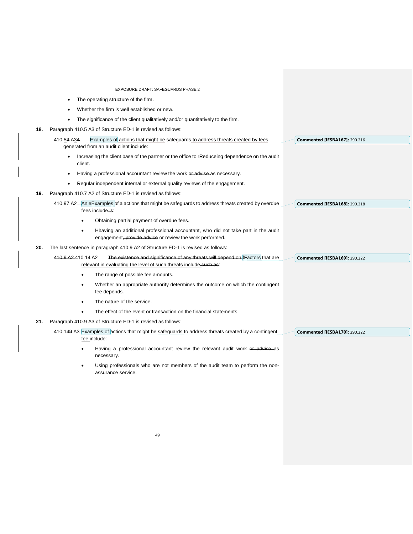|     | EXPOSURE DRAFT: SAFEGUARDS PHASE 2                                                                                                            |                                      |
|-----|-----------------------------------------------------------------------------------------------------------------------------------------------|--------------------------------------|
|     | The operating structure of the firm.                                                                                                          |                                      |
|     | Whether the firm is well established or new.                                                                                                  |                                      |
|     | The significance of the client qualitatively and/or quantitatively to the firm.                                                               |                                      |
| 18. | Paragraph 410.5 A3 of Structure ED-1 is revised as follows:                                                                                   |                                      |
|     | Examples of actions that might be safeguards to address threats created by fees<br>410.53 A34                                                 | <b>Commented [IESBA167]: 290.216</b> |
|     | generated from an audit client include:                                                                                                       |                                      |
|     | Increasing the client base of the partner or the office to rReduceing dependence on the audit                                                 |                                      |
|     | client.                                                                                                                                       |                                      |
|     | Having a professional accountant review the work or advise as necessary.                                                                      |                                      |
|     | Regular independent internal or external quality reviews of the engagement.                                                                   |                                      |
| 19. | Paragraph 410.7 A2 of Structure ED-1 is revised as follows:                                                                                   |                                      |
|     | 410.97 A2-An eExamples of a actions that might be safeguards to address threats created by overdue<br>fees include is:                        | <b>Commented [IESBA168]: 290.218</b> |
|     | Obtaining partial payment of overdue fees.                                                                                                    |                                      |
|     | Hhaving an additional professional accountant, who did not take part in the audit<br>engagement, provide advice or review the work performed. |                                      |
| 20. | The last sentence in paragraph 410.9 A2 of Structure ED-1 is revised as follows:                                                              |                                      |
|     | The existence and significance of any threats will depend on <i>E</i> actors that are<br>410.9 A2-410.14 A2                                   | <b>Commented [IESBA169]: 290.222</b> |
|     | relevant in evaluating the level of such threats include such as:                                                                             |                                      |
|     | The range of possible fee amounts.<br>$\bullet$                                                                                               |                                      |
|     | Whether an appropriate authority determines the outcome on which the contingent<br>$\bullet$<br>fee depends.                                  |                                      |
|     | The nature of the service.<br>$\bullet$                                                                                                       |                                      |
|     | The effect of the event or transaction on the financial statements.                                                                           |                                      |
| 21. | Paragraph 410.9 A3 of Structure ED-1 is revised as follows:                                                                                   |                                      |
|     | 410.149 A3 Examples of actions that might be safeguards to address threats created by a contingent<br>fee include:                            | <b>Commented [IESBA170]: 290.222</b> |
|     | Having a professional accountant review the relevant audit work or advise as<br>necessary.                                                    |                                      |

• Using professionals who are not members of the audit team to perform the nonassurance service.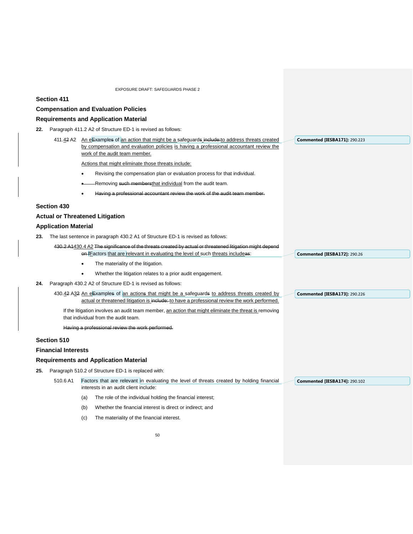# **Section 411**

**Compensation and Evaluation Policies**

# **Requirements and Application Material**

| 22. | Paragraph 411.2 A2 of Structure ED-1 is revised as follows:                                                                                    |           |                                                                                                                                                                                                 |  |                                      |
|-----|------------------------------------------------------------------------------------------------------------------------------------------------|-----------|-------------------------------------------------------------------------------------------------------------------------------------------------------------------------------------------------|--|--------------------------------------|
|     |                                                                                                                                                |           | 411.42 A2 An eExamples of an action that might be a safeguards include: to address threats created<br>by compensation and evaluation policies is having a professional accountant review the    |  | <b>Commented [IESBA171]: 290.223</b> |
|     |                                                                                                                                                |           | work of the audit team member.                                                                                                                                                                  |  |                                      |
|     |                                                                                                                                                |           | Actions that might eliminate those threats include:                                                                                                                                             |  |                                      |
|     |                                                                                                                                                | ٠         | Revising the compensation plan or evaluation process for that individual.                                                                                                                       |  |                                      |
|     |                                                                                                                                                |           | -Removing such membersthat individual from the audit team.                                                                                                                                      |  |                                      |
|     |                                                                                                                                                |           | Having a professional accountant review the work of the audit team member.                                                                                                                      |  |                                      |
|     | <b>Section 430</b>                                                                                                                             |           |                                                                                                                                                                                                 |  |                                      |
|     |                                                                                                                                                |           | <b>Actual or Threatened Litigation</b>                                                                                                                                                          |  |                                      |
|     | <b>Application Material</b>                                                                                                                    |           |                                                                                                                                                                                                 |  |                                      |
| 23. |                                                                                                                                                |           | The last sentence in paragraph 430.2 A1 of Structure ED-1 is revised as follows:                                                                                                                |  |                                      |
|     |                                                                                                                                                |           | 430.2 A1430.4 A2 The significance of the threats created by actual or threatened litigation might depend                                                                                        |  |                                      |
|     |                                                                                                                                                |           | on fFactors that are relevant in evaluating the level of such threats includeas:                                                                                                                |  | <b>Commented [IESBA172]: 290.26</b>  |
|     |                                                                                                                                                | $\bullet$ | The materiality of the litigation.                                                                                                                                                              |  |                                      |
|     |                                                                                                                                                | $\bullet$ | Whether the litigation relates to a prior audit engagement.                                                                                                                                     |  |                                      |
| 24. |                                                                                                                                                |           | Paragraph 430.2 A2 of Structure ED-1 is revised as follows:                                                                                                                                     |  |                                      |
|     |                                                                                                                                                |           | 430.42 A32 An eExamples of an actions that might be a safeguards to address threats created by<br>actual or threatened litigation is include: to have a professional review the work performed. |  | <b>Commented [IESBA173]: 290.226</b> |
|     |                                                                                                                                                |           | If the litigation involves an audit team member, an action that might eliminate the threat is removing<br>that individual from the audit team.                                                  |  |                                      |
|     |                                                                                                                                                |           | Having a professional review the work performed.                                                                                                                                                |  |                                      |
|     | Section 510                                                                                                                                    |           |                                                                                                                                                                                                 |  |                                      |
|     | <b>Financial Interests</b>                                                                                                                     |           |                                                                                                                                                                                                 |  |                                      |
|     |                                                                                                                                                |           | <b>Requirements and Application Material</b>                                                                                                                                                    |  |                                      |
| 25. | Paragraph 510.2 of Structure ED-1 is replaced with:                                                                                            |           |                                                                                                                                                                                                 |  |                                      |
|     | Factors that are relevant in evaluating the level of threats created by holding financial<br>510.6 A1<br>interests in an audit client include: |           |                                                                                                                                                                                                 |  | <b>Commented [IESBA174]: 290.102</b> |
|     |                                                                                                                                                | (a)       | The role of the individual holding the financial interest;                                                                                                                                      |  |                                      |
|     |                                                                                                                                                | (b)       | Whether the financial interest is direct or indirect; and                                                                                                                                       |  |                                      |
|     |                                                                                                                                                | (c)       | The materiality of the financial interest.                                                                                                                                                      |  |                                      |
|     |                                                                                                                                                |           |                                                                                                                                                                                                 |  |                                      |
|     |                                                                                                                                                |           | 50                                                                                                                                                                                              |  |                                      |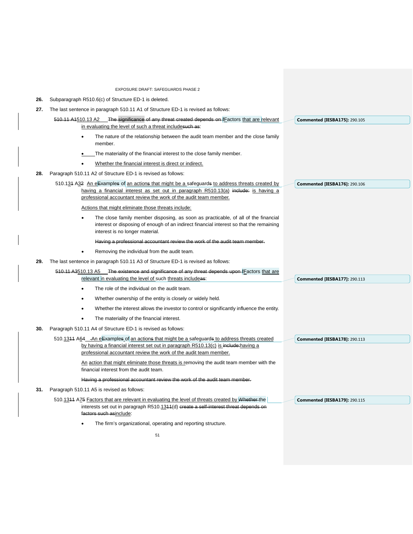EXPOSURE DRAFT: SAFEGUARDS PHASE 2 51 **26.** Subparagraph R510.6(c) of Structure ED-1 is deleted. **27.** The last sentence in paragraph 510.11 A1 of Structure ED-1 is revised as follows: 510.11 A1510.13 A2 The significance of any threat created depends on *FE* actors that are relevant in evaluating the level of such a threat includesuch as: The nature of the relationship between the audit team member and the close family member. The materiality of the financial interest to the close family member. Whether the financial interest is direct or indirect. **28.** Paragraph 510.11 A2 of Structure ED-1 is revised as follows: 510.134 A32 An eExamples of an actions that might be a safeguards to address threats created by having a financial interest as set out in paragraph R510.13(a) include: is having a professional accountant review the work of the audit team member. Actions that might eliminate those threats include: The close family member disposing, as soon as practicable, of all of the financial interest or disposing of enough of an indirect financial interest so that the remaining interest is no longer material. Having a professional accountant review the work of the audit team member. • Removing the individual from the audit team*.* **29.** The last sentence in paragraph 510.11 A3 of Structure ED-1 is revised as follows: 510.11 A3510.13 A5 The existence and significance of any threat depends upon fFactors that are relevant in evaluating the level of such threats includeas: The role of the individual on the audit team. • Whether ownership of the entity is closely or widely held. • Whether the interest allows the investor to control or significantly influence the entity. The materiality of the financial interest. **30.** Paragraph 510.11 A4 of Structure ED-1 is revised as follows: 510.1311 A64 An eExamples of an actions that might be a safeguards to address threats created by having a financial interest set out in paragraph R510.13(c) is include: having a professional accountant review the work of the audit team member. An action that might eliminate those threats is removing the audit team member with the financial interest from the audit team. Having a professional accountant review the work of the audit team member*.* **31.** Paragraph 510.11 A5 is revised as follows: 510.1311 A75 Factors that are relevant in evaluating the level of threats created by Whether the interests set out in paragraph R510.1344(d) create a self-interest threat depends on factors such asinclude: The firm's organizational, operating and reporting structure. **Commented [IESBA175]:** 290.105 **Commented [IESBA176]:** 290.106 **Commented [IESBA177]:** 290.113 **Commented [IESBA178]:** 290.113 **Commented [IESBA179]:** 290.115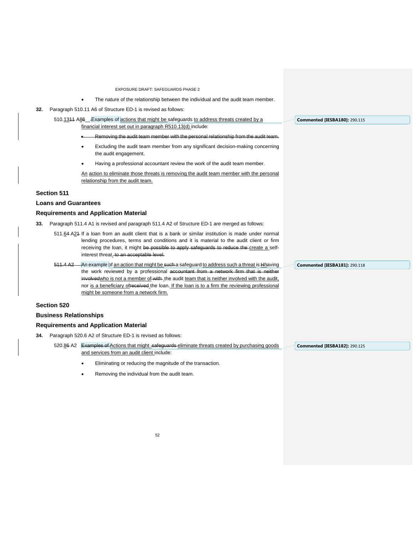The nature of the relationship between the individual and the audit team member.

**32.** Paragraph 510.11 A6 of Structure ED-1 is revised as follows:

510.1311 A86 Examples of actions that might be safeguards to address threats created by a financial interest set out in paragraph R510.13(d) include:

- Removing the audit team member with the personal relationship from the audit team.
- Excluding the audit team member from any significant decision-making concerning the audit engagement.
- Having a professional accountant review the work of the audit team member.

An action to eliminate those threats is removing the audit team member with the personal relationship from the audit team.

## **Section 511**

### **Loans and Guarantees**

### **Requirements and Application Material**

**33.** Paragraph 511.4 A1 is revised and paragraph 511.4 A2 of Structure ED-1 are merged as follows:

511.64 A21 If a loan from an audit client that is a bank or similar institution is made under normal lending procedures, terms and conditions and it is material to the audit client or firm receiving the loan, it might be possible to apply safeguards to reduce the create a selfinterest threat. to an acceptable level.

511.4 A2 An example of an action that might be such a safeguard to address such a threat is Hhaving the work reviewed by a professional accountant from a network firm that is neither involved who is not a member of with the audit team that is neither involved with the audit, nor is a beneficiary of received the loan. If the loan is to a firm the reviewing professional might be someone from a network firm.

## **Section 520**

### **Business Relationships**

#### **Requirements and Application Material**

- **34.** Paragraph 520.6 A2 of Structure ED-1 is revised as follows:
	- 520.86 A2 Examples of Actions that might safeguards eliminate threats created by purchasing goods and services from an audit client include:
		- Eliminating or reducing the magnitude of the transaction.
		- Removing the individual from the audit team.

**Commented [IESBA181]:** 290.118

**Commented [IESBA180]:** 290.115

**Commented [IESBA182]:** 290.125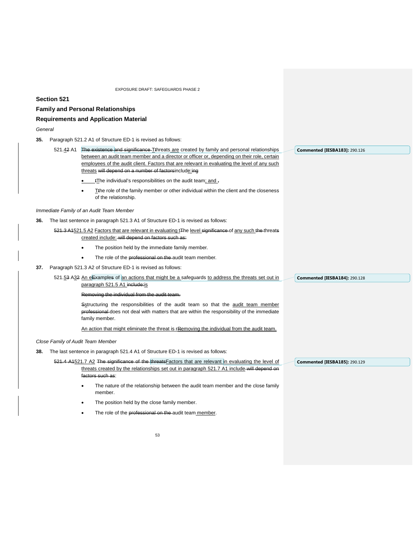### **Section 521**

### **Family and Personal Relationships**

### **Requirements and Application Material**

*General*

- **35.** Paragraph 521.2 A1 of Structure ED-1 is revised as follows:
	- 521.42 A1 The existence and significance Tthreats are created by family and personal relationships between an audit team member and a director or officer or, depending on their role, certain employees of the audit client. Factors that are relevant in evaluating the level of any such threats will depend on a number of factorsinclude:ing the individual's responsibilities on the audit team; and  $\frac{1}{2}$ **Commented [IESBA183]:** 290.126
		- Tthe role of the family member or other individual within the client and the closeness of the relationship.

*Immediate Family of an Audit Team Member* 

- **36.** The last sentence in paragraph 521.3 A1 of Structure ED-1 is revised as follows:
	- 521.3 A1521.5 A2 Factors that are relevant in evaluating t<sub>The level significance of any such the threats</sub> created include: will depend on factors such as:
		- The position held by the immediate family member.
		- The role of the professional on the audit team member.
- **37.** Paragraph 521.3 A2 of Structure ED-1 is revised as follows:
	- 521.53 A32 An eExamples of an actions that might be a safeguards to address the threats set out in paragraph 521.5 A1 include: is

Removing the individual from the audit team.

Sstructuring the responsibilities of the audit team so that the audit team member professional does not deal with matters that are within the responsibility of the immediate family member.

An action that might eliminate the threat is rRemoving the individual from the audit team.

*Close Family of Audit Team Member*

- **38.** The last sentence in paragraph 521.4 A1 of Structure ED-1 is revised as follows:
	- 521.4 A1521.7 A2 The significance of the threats Factors that are relevant in evaluating the level of threats created by the relationships set out in paragraph 521.7 A1 include-will depend on factors such as:
		- The nature of the relationship between the audit team member and the close family member.
		- The position held by the close family member.
		- The role of the professional on the audit team member.

**Commented [IESBA185]:** 290.129

**Commented [IESBA184]:** 290.128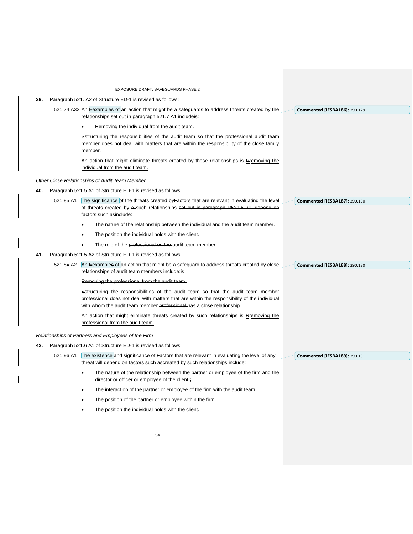- **39.** Paragraph 521. A2 of Structure ED-1 is revised as follows:
	- 521.74 A32 An Eexamples of an action that might be a safeguards to address threats created by the relationships set out in paragraph 521.7 A1 includeis:
		- Removing the individual from the audit team.

Sstructuring the responsibilities of the audit team so that the professional audit team member does not deal with matters that are within the responsibility of the close family member*.*

An action that might eliminate threats created by those relationships is Rremoving the individual from the audit team.

*Other Close Relationships of Audit Team Member*

- **40.** Paragraph 521.5 A1 of Structure ED-1 is revised as follows:
	- 521.85 A1 The significance of the threats created by Factors that are relevant in evaluating the level of threats created by a such relationships set out in paragraph R521.5 will depend on factors such asinclude:
		- The nature of the relationship between the individual and the audit team member.
		- The position the individual holds with the client.
		- The role of the professional on the audit team member.
- **41.** Paragraph 521.5 A2 of Structure ED-1 is revised as follows:

521.85 A2 An Eexamples of an action that might be a safeguard to address threats created by close relationships of audit team members include:is

#### Removing the professional from the audit team.

Sstructuring the responsibilities of the audit team so that the audit team member professional does not deal with matters that are within the responsibility of the individual with whom the audit team member professional has a close relationship.

An action that might eliminate threats created by such relationships is Rremoving the professional from the audit team.

*Relationships of Partners and Employees of the Firm* 

**42.** Paragraph 521.6 A1 of Structure ED-1 is revised as follows:

521.96 A1 The existence and significance of Factors that are relevant in evaluating the level of any threat will depend on factors such ascreated by such relationships include

- The nature of the relationship between the partner or employee of the firm and the director or officer or employee of the client.;
- The interaction of the partner or employee of the firm with the audit team.
- The position of the partner or employee within the firm.
- The position the individual holds with the client.

**Commented [IESBA187]:** 290.130

**Commented [IESBA186]:** 290.129

**Commented [IESBA188]:** 290.130

**Commented [IESBA189]:** 290.131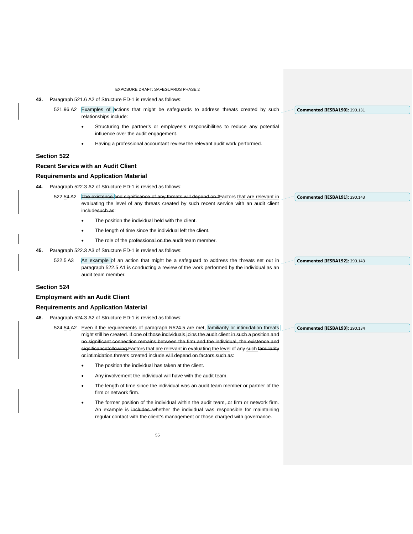EXPOSURE DRAFT: SAFEGUARDS PHASE 2 **43.** Paragraph 521.6 A2 of Structure ED-1 is revised as follows: 521.96 A2 Examples of actions that might be safeguards to address threats created by such relationships include: Structuring the partner's or employee's responsibilities to reduce any potential influence over the audit engagement. • Having a professional accountant review the relevant audit work performed. **Section 522 Recent Service with an Audit Client Requirements and Application Material 44.** Paragraph 522.3 A2 of Structure ED-1 is revised as follows: 522.53 A2 The existence and significance of any threats will depend on fFactors that are relevant in evaluating the level of any threats created by such recent service with an audit client includesuch as: The position the individual held with the client. The length of time since the individual left the client. The role of the professional on the audit team member. **45.** Paragraph 522.3 A3 of Structure ED-1 is revised as follows: 522.5 A3 An example of an action that might be a safeguard to address the threats set out in paragraph 522.5 A1 is conducting a review of the work performed by the individual as an audit team member. **Section 524 Employment with an Audit Client Requirements and Application Material 46.** Paragraph 524.3 A2 of Structure ED-1 is revised as follows: 524.53 A2 Even if the requirements of paragraph R524.5 are met, familiarity or intimidation threats might still be created. If one of those individuals joins the audit client in such a position and no significant connection remains between the firm and the individual, the existence and significancefollowing Factors that are relevant in evaluating the level of any such familiarity or intimidation threats created include will depend on factors such as: The position the individual has taken at the client. • Any involvement the individual will have with the audit team. The length of time since the individual was an audit team member or partner of the firm or network firm. The former position of the individual within the audit team, or firm or network firm. An example is includes whether the individual was responsible for maintaining regular contact with the client's management or those charged with governance. **Commented [IESBA190]:** 290.131 **Commented [IESBA191]:** 290.143 **Commented [IESBA192]:** 290.143 **Commented [IESBA193]:** 290.134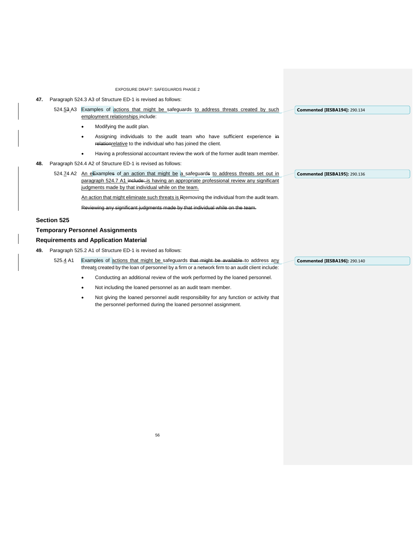- **47.** Paragraph 524.3 A3 of Structure ED-1 is revised as follows:
	- 524.53 A3 Examples of actions that might be safeguards to address threats created by such employment relationships include:
		- Modifying the audit plan.
		- Assigning individuals to the audit team who have sufficient experience in relationrelative to the individual who has joined the client.
		- Having a professional accountant review the work of the former audit team member.
- **48.** Paragraph 524.4 A2 of Structure ED-1 is revised as follows:
	- 524.74 A2 An eExamples of an action that might be a safeguards to address threats set out in paragraph 524.7 A1 include: is having an appropriate professional review any significant judgments made by that individual while on the team.

An action that might eliminate such threats is Rremoving the individual from the audit team.

Reviewing any significant judgments made by that individual while

### **Section 525**

# **Temporary Personnel Assignments**

### **Requirements and Application Material**

- **49.** Paragraph 525.2 A1 of Structure ED-1 is revised as follows:
	- 525.4 A1 Examples of actions that might be safeguards that might be available to address any threats created by the loan of personnel by a firm or a network firm to an audit client include:
		- Conducting an additional review of the work performed by the loaned personnel.
		- Not including the loaned personnel as an audit team member.
		- Not giving the loaned personnel audit responsibility for any function or activity that the personnel performed during the loaned personnel assignment.

**Commented [IESBA196]:** 290.140

**Commented [IESBA194]:** 290.134

**Commented [IESBA195]:** 290.136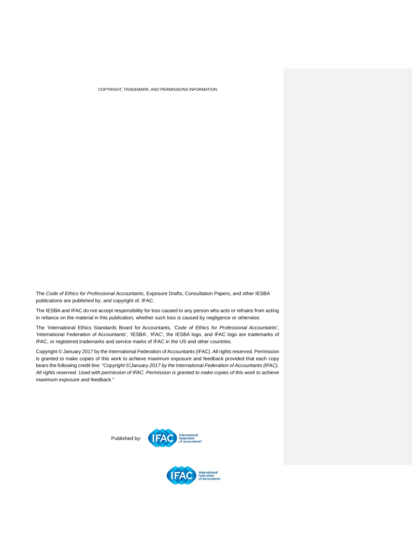COPYRIGHT, TRADEMARK, AND PERMISSIONS INFORMATION

The *Code of Ethics for Professional Accountants*, Exposure Drafts, Consultation Papers, and other IESBA publications are published by, and copyright of, IFAC.

The IESBA and IFAC do not accept responsibility for loss caused to any person who acts or refrains from acting in reliance on the material in this publication, whether such loss is caused by negligence or otherwise.

The 'International Ethics Standards Board for Accountants, '*Code of Ethics for Professional Accountants*', 'International Federation of Accountants', 'IESBA', 'IFAC', the IESBA logo, and IFAC logo are trademarks of IFAC, or registered trademarks and service marks of IFAC in the US and other countries.

<span id="page-56-0"></span>Copyright © January 2017 by the International Federation of Accountants (IFAC). All rights reserved. Permission is granted to make copies of this work to achieve maximum exposure and feedback provided that each copy bears the following credit line: "*Copyright © January 2017 by the International Federation of Accountants (IFAC). All rights reserved. Used with permission of IFAC. Permission is granted to make copies of this work to achieve maximum exposure and feedback*."

> **TEAC** Federatio Published by: